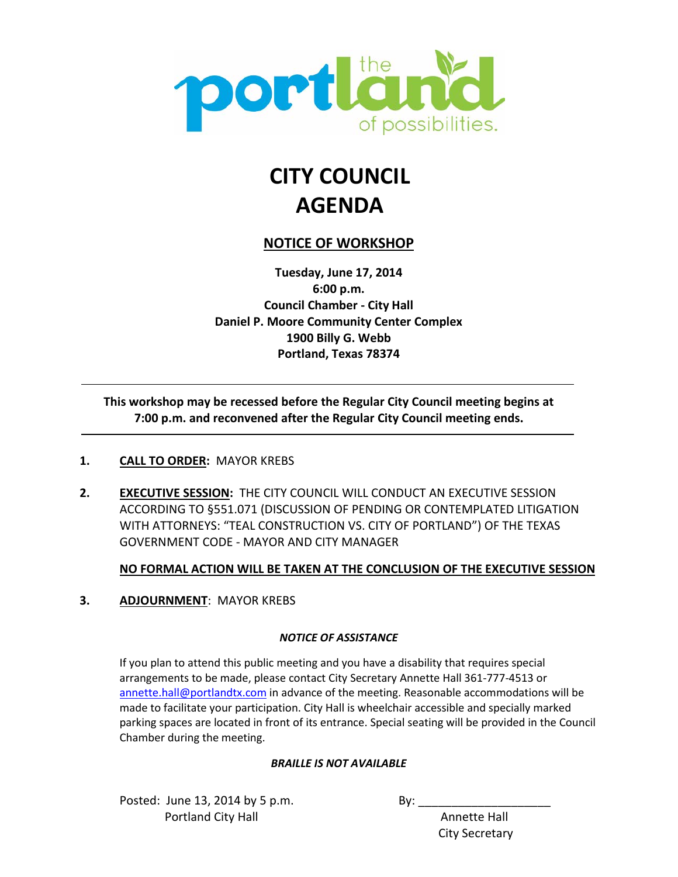

# **CITY COUNCIL AGENDA**

#### **NOTICE OF WORKSHOP**

**Tuesday, June 17, 2014 6:00 p.m. Council Chamber - City Hall Daniel P. Moore Community Center Complex 1900 Billy G. Webb Portland, Texas 78374**

 $\overline{a}$ **This workshop may be recessed before the Regular City Council meeting begins at 7:00 p.m. and reconvened after the Regular City Council meeting ends.**

#### **1. CALL TO ORDER:** MAYOR KREBS

**2. EXECUTIVE SESSION:** THE CITY COUNCIL WILL CONDUCT AN EXECUTIVE SESSION ACCORDING TO §551.071 (DISCUSSION OF PENDING OR CONTEMPLATED LITIGATION WITH ATTORNEYS: "TEAL CONSTRUCTION VS. CITY OF PORTLAND") OF THE TEXAS GOVERNMENT CODE - MAYOR AND CITY MANAGER

#### **NO FORMAL ACTION WILL BE TAKEN AT THE CONCLUSION OF THE EXECUTIVE SESSION**

**3. ADJOURNMENT**: MAYOR KREBS

#### *NOTICE OF ASSISTANCE*

If you plan to attend this public meeting and you have a disability that requires special arrangements to be made, please contact City Secretary Annette Hall 361-777-4513 or [annette.hall@portlandtx.com](mailto:arodriguez@portlandtx.com) in advance of the meeting. Reasonable accommodations will be made to facilitate your participation. City Hall is wheelchair accessible and specially marked parking spaces are located in front of its entrance. Special seating will be provided in the Council Chamber during the meeting.

#### *BRAILLE IS NOT AVAILABLE*

Posted: June  $13$ ,  $2014$  by 5 p.m. By: Portland City Hall **Annette Hall** Annette Hall

City Secretary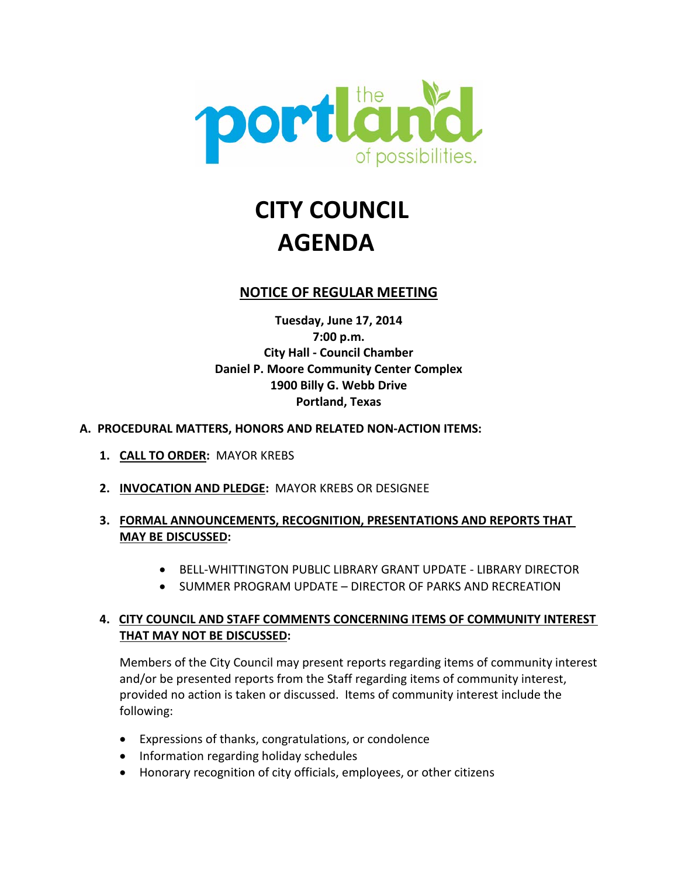

# **CITY COUNCIL AGENDA**

#### **NOTICE OF REGULAR MEETING**

**Tuesday, June 17, 2014 7:00 p.m. City Hall - Council Chamber Daniel P. Moore Community Center Complex 1900 Billy G. Webb Drive Portland, Texas**

#### **A. PROCEDURAL MATTERS, HONORS AND RELATED NON-ACTION ITEMS:**

- **1. CALL TO ORDER:** MAYOR KREBS
- **2. INVOCATION AND PLEDGE:** MAYOR KREBS OR DESIGNEE

#### **3. FORMAL ANNOUNCEMENTS, RECOGNITION, PRESENTATIONS AND REPORTS THAT MAY BE DISCUSSED:**

- BELL-WHITTINGTON PUBLIC LIBRARY GRANT UPDATE LIBRARY DIRECTOR
- SUMMER PROGRAM UPDATE DIRECTOR OF PARKS AND RECREATION

#### **4. CITY COUNCIL AND STAFF COMMENTS CONCERNING ITEMS OF COMMUNITY INTEREST THAT MAY NOT BE DISCUSSED:**

Members of the City Council may present reports regarding items of community interest and/or be presented reports from the Staff regarding items of community interest, provided no action is taken or discussed. Items of community interest include the following:

- Expressions of thanks, congratulations, or condolence
- Information regarding holiday schedules
- Honorary recognition of city officials, employees, or other citizens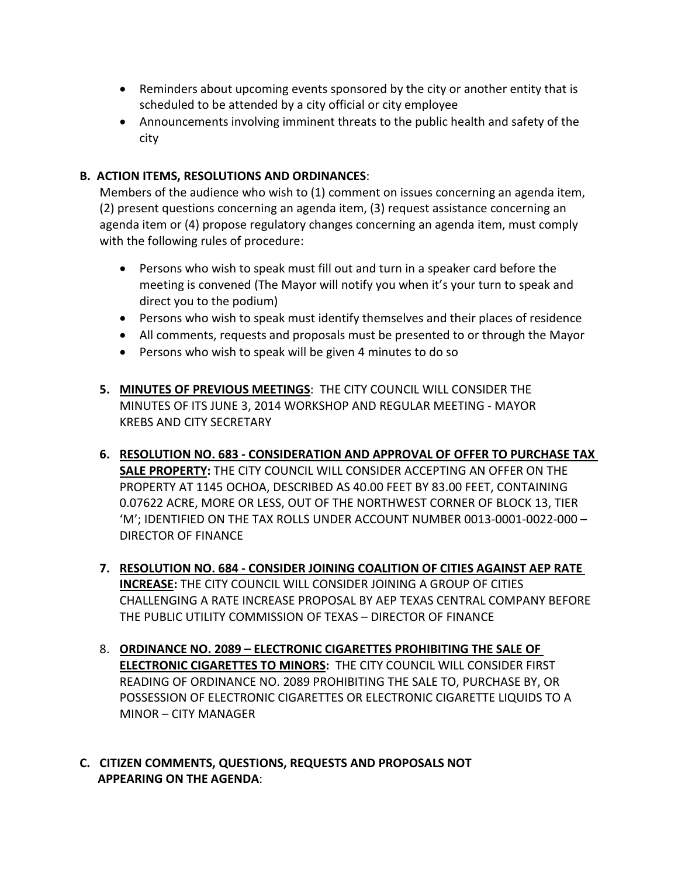- Reminders about upcoming events sponsored by the city or another entity that is scheduled to be attended by a city official or city employee
- Announcements involving imminent threats to the public health and safety of the city

#### **B. ACTION ITEMS, RESOLUTIONS AND ORDINANCES**:

Members of the audience who wish to (1) comment on issues concerning an agenda item, (2) present questions concerning an agenda item, (3) request assistance concerning an agenda item or (4) propose regulatory changes concerning an agenda item, must comply with the following rules of procedure:

- Persons who wish to speak must fill out and turn in a speaker card before the meeting is convened (The Mayor will notify you when it's your turn to speak and direct you to the podium)
- Persons who wish to speak must identify themselves and their places of residence
- All comments, requests and proposals must be presented to or through the Mayor
- Persons who wish to speak will be given 4 minutes to do so
- **5. MINUTES OF PREVIOUS MEETINGS**: THE CITY COUNCIL WILL CONSIDER THE MINUTES OF ITS JUNE 3, 2014 WORKSHOP AND REGULAR MEETING - MAYOR KREBS AND CITY SECRETARY
- **6. RESOLUTION NO. 683 - CONSIDERATION AND APPROVAL OF OFFER TO PURCHASE TAX SALE PROPERTY:** THE CITY COUNCIL WILL CONSIDER ACCEPTING AN OFFER ON THE PROPERTY AT 1145 OCHOA, DESCRIBED AS 40.00 FEET BY 83.00 FEET, CONTAINING 0.07622 ACRE, MORE OR LESS, OUT OF THE NORTHWEST CORNER OF BLOCK 13, TIER 'M'; IDENTIFIED ON THE TAX ROLLS UNDER ACCOUNT NUMBER 0013-0001-0022-000 – DIRECTOR OF FINANCE
- **7. RESOLUTION NO. 684 - CONSIDER JOINING COALITION OF CITIES AGAINST AEP RATE INCREASE:** THE CITY COUNCIL WILL CONSIDER JOINING A GROUP OF CITIES CHALLENGING A RATE INCREASE PROPOSAL BY AEP TEXAS CENTRAL COMPANY BEFORE THE PUBLIC UTILITY COMMISSION OF TEXAS – DIRECTOR OF FINANCE
- 8. **ORDINANCE NO. 2089 – ELECTRONIC CIGARETTES PROHIBITING THE SALE OF ELECTRONIC CIGARETTES TO MINORS:** THE CITY COUNCIL WILL CONSIDER FIRST READING OF ORDINANCE NO. 2089 PROHIBITING THE SALE TO, PURCHASE BY, OR POSSESSION OF ELECTRONIC CIGARETTES OR ELECTRONIC CIGARETTE LIQUIDS TO A MINOR – CITY MANAGER
- **C. CITIZEN COMMENTS, QUESTIONS, REQUESTS AND PROPOSALS NOT APPEARING ON THE AGENDA**: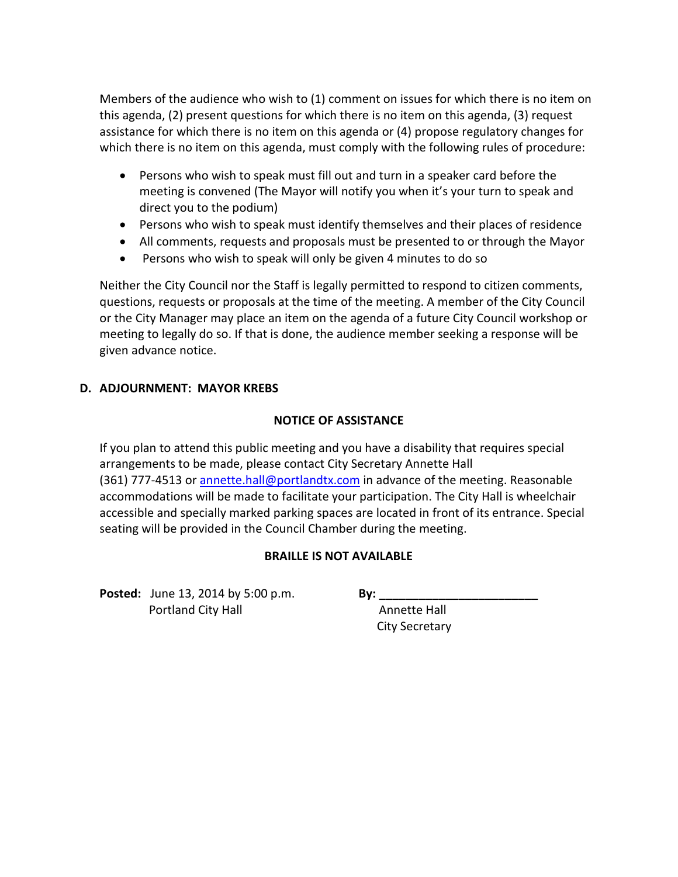Members of the audience who wish to (1) comment on issues for which there is no item on this agenda, (2) present questions for which there is no item on this agenda, (3) request assistance for which there is no item on this agenda or (4) propose regulatory changes for which there is no item on this agenda, must comply with the following rules of procedure:

- Persons who wish to speak must fill out and turn in a speaker card before the meeting is convened (The Mayor will notify you when it's your turn to speak and direct you to the podium)
- Persons who wish to speak must identify themselves and their places of residence
- All comments, requests and proposals must be presented to or through the Mayor
- Persons who wish to speak will only be given 4 minutes to do so

Neither the City Council nor the Staff is legally permitted to respond to citizen comments, questions, requests or proposals at the time of the meeting. A member of the City Council or the City Manager may place an item on the agenda of a future City Council workshop or meeting to legally do so. If that is done, the audience member seeking a response will be given advance notice.

#### **D. ADJOURNMENT: MAYOR KREBS**

#### **NOTICE OF ASSISTANCE**

If you plan to attend this public meeting and you have a disability that requires special arrangements to be made, please contact City Secretary Annette Hall (361) 777-4513 or [annette.hall@portlandtx.com](mailto:annette.hall@portlandtx.com) in advance of the meeting. Reasonable accommodations will be made to facilitate your participation. The City Hall is wheelchair accessible and specially marked parking spaces are located in front of its entrance. Special seating will be provided in the Council Chamber during the meeting.

#### **BRAILLE IS NOT AVAILABLE**

**Posted:** June 13, 2014 by 5:00 p.m. **By: \_\_\_\_\_\_\_\_\_\_\_\_\_\_\_\_\_\_\_\_\_\_\_\_ Portland City Hall Annette Hall Annette Hall** 

City Secretary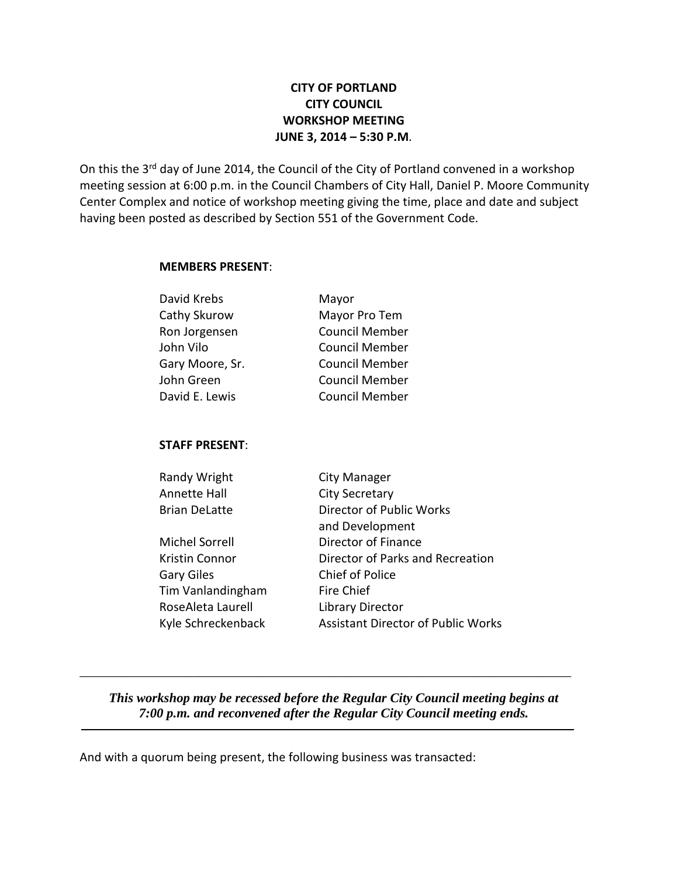#### **CITY OF PORTLAND CITY COUNCIL WORKSHOP MEETING JUNE 3, 2014 – 5:30 P.M**.

On this the 3<sup>rd</sup> day of June 2014, the Council of the City of Portland convened in a workshop meeting session at 6:00 p.m. in the Council Chambers of City Hall, Daniel P. Moore Community Center Complex and notice of workshop meeting giving the time, place and date and subject having been posted as described by Section 551 of the Government Code.

#### **MEMBERS PRESENT**:

| David Krebs     | Mayor                 |
|-----------------|-----------------------|
| Cathy Skurow    | Mayor Pro Tem         |
| Ron Jorgensen   | <b>Council Member</b> |
| John Vilo       | <b>Council Member</b> |
| Gary Moore, Sr. | <b>Council Member</b> |
| John Green      | <b>Council Member</b> |
| David E. Lewis  | <b>Council Member</b> |
|                 |                       |

#### **STAFF PRESENT**:

| City Manager                              |
|-------------------------------------------|
| <b>City Secretary</b>                     |
| Director of Public Works                  |
| and Development                           |
| Director of Finance                       |
| Director of Parks and Recreation          |
| <b>Chief of Police</b>                    |
| Fire Chief                                |
| Library Director                          |
| <b>Assistant Director of Public Works</b> |
|                                           |

*This workshop may be recessed before the Regular City Council meeting begins at 7:00 p.m. and reconvened after the Regular City Council meeting ends.*

\_\_\_\_\_\_\_\_\_\_\_\_\_\_\_\_\_\_\_\_\_\_\_\_\_\_\_\_\_\_\_\_\_\_\_\_\_\_\_\_\_\_\_\_\_\_\_\_\_\_\_\_\_\_\_\_\_\_\_\_\_\_\_\_\_\_\_\_\_\_\_\_\_\_

And with a quorum being present, the following business was transacted: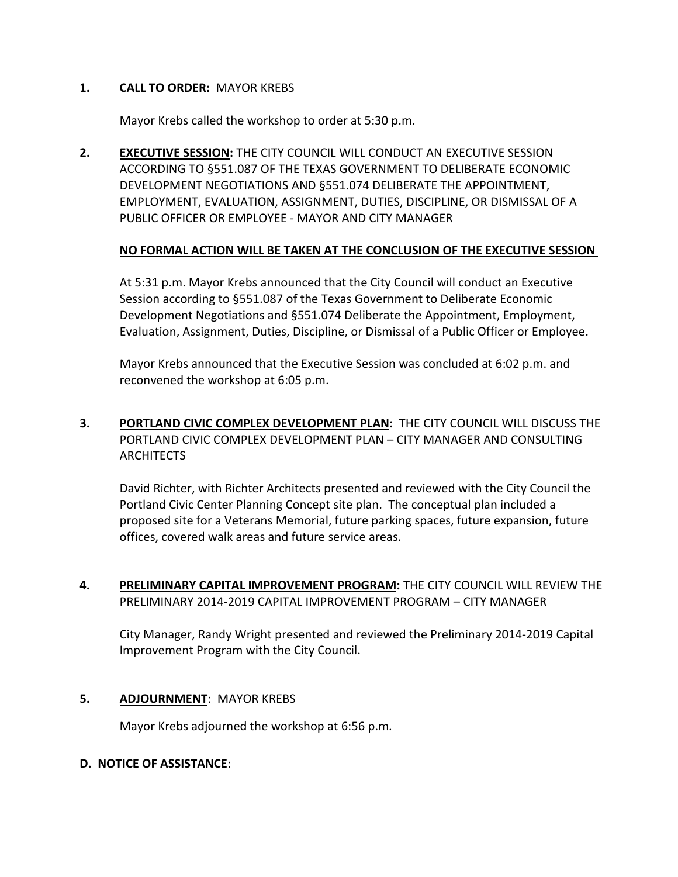#### **1. CALL TO ORDER:** MAYOR KREBS

Mayor Krebs called the workshop to order at 5:30 p.m.

**2. EXECUTIVE SESSION:** THE CITY COUNCIL WILL CONDUCT AN EXECUTIVE SESSION ACCORDING TO §551.087 OF THE TEXAS GOVERNMENT TO DELIBERATE ECONOMIC DEVELOPMENT NEGOTIATIONS AND §551.074 DELIBERATE THE APPOINTMENT, EMPLOYMENT, EVALUATION, ASSIGNMENT, DUTIES, DISCIPLINE, OR DISMISSAL OF A PUBLIC OFFICER OR EMPLOYEE - MAYOR AND CITY MANAGER

#### **NO FORMAL ACTION WILL BE TAKEN AT THE CONCLUSION OF THE EXECUTIVE SESSION**

At 5:31 p.m. Mayor Krebs announced that the City Council will conduct an Executive Session according to §551.087 of the Texas Government to Deliberate Economic Development Negotiations and §551.074 Deliberate the Appointment, Employment, Evaluation, Assignment, Duties, Discipline, or Dismissal of a Public Officer or Employee.

Mayor Krebs announced that the Executive Session was concluded at 6:02 p.m. and reconvened the workshop at 6:05 p.m.

**3. PORTLAND CIVIC COMPLEX DEVELOPMENT PLAN:** THE CITY COUNCIL WILL DISCUSS THE PORTLAND CIVIC COMPLEX DEVELOPMENT PLAN – CITY MANAGER AND CONSULTING **ARCHITECTS** 

David Richter, with Richter Architects presented and reviewed with the City Council the Portland Civic Center Planning Concept site plan. The conceptual plan included a proposed site for a Veterans Memorial, future parking spaces, future expansion, future offices, covered walk areas and future service areas.

**4. PRELIMINARY CAPITAL IMPROVEMENT PROGRAM:** THE CITY COUNCIL WILL REVIEW THE PRELIMINARY 2014-2019 CAPITAL IMPROVEMENT PROGRAM – CITY MANAGER

City Manager, Randy Wright presented and reviewed the Preliminary 2014-2019 Capital Improvement Program with the City Council.

#### **5. ADJOURNMENT**: MAYOR KREBS

Mayor Krebs adjourned the workshop at 6:56 p.m.

#### **D. NOTICE OF ASSISTANCE**: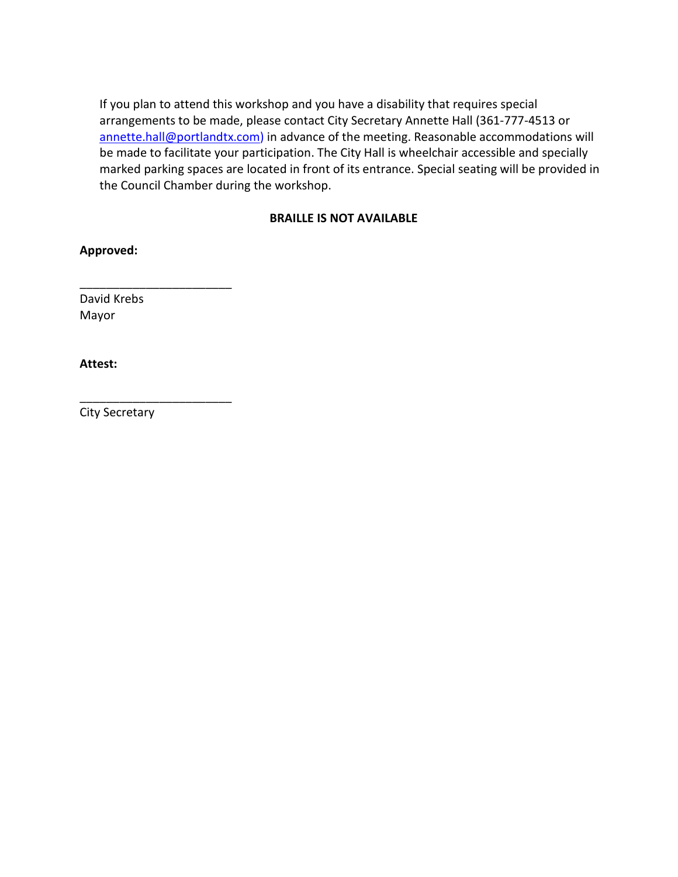If you plan to attend this workshop and you have a disability that requires special arrangements to be made, please contact City Secretary Annette Hall (361-777-4513 or [annette.hall@portlandtx.com\)](mailto:arodriguez@portlandtx.com) in advance of the meeting. Reasonable accommodations will be made to facilitate your participation. The City Hall is wheelchair accessible and specially marked parking spaces are located in front of its entrance. Special seating will be provided in the Council Chamber during the workshop.

#### **BRAILLE IS NOT AVAILABLE**

**Approved:**

David Krebs Mayor

\_\_\_\_\_\_\_\_\_\_\_\_\_\_\_\_\_\_\_\_\_\_\_

\_\_\_\_\_\_\_\_\_\_\_\_\_\_\_\_\_\_\_\_\_\_\_

**Attest:**

City Secretary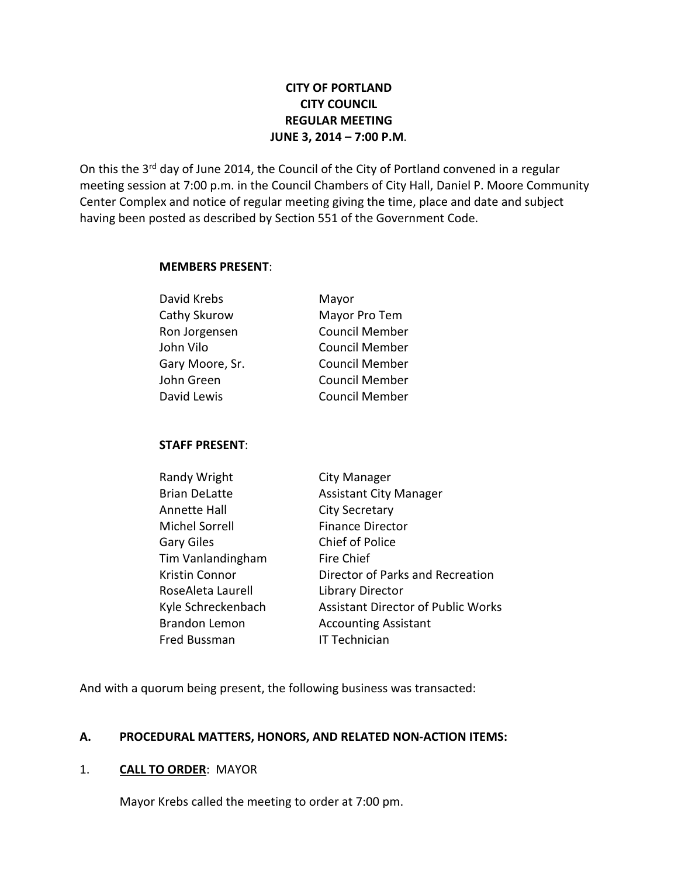#### **CITY OF PORTLAND CITY COUNCIL REGULAR MEETING JUNE 3, 2014 – 7:00 P.M**.

On this the 3<sup>rd</sup> day of June 2014, the Council of the City of Portland convened in a regular meeting session at 7:00 p.m. in the Council Chambers of City Hall, Daniel P. Moore Community Center Complex and notice of regular meeting giving the time, place and date and subject having been posted as described by Section 551 of the Government Code.

#### **MEMBERS PRESENT**:

| David Krebs     | Mayor                 |
|-----------------|-----------------------|
| Cathy Skurow    | Mayor Pro Tem         |
| Ron Jorgensen   | <b>Council Member</b> |
| John Vilo       | <b>Council Member</b> |
| Gary Moore, Sr. | <b>Council Member</b> |
| John Green      | <b>Council Member</b> |
| David Lewis     | <b>Council Member</b> |
|                 |                       |

#### **STAFF PRESENT**:

| Randy Wright         | City Manager                              |
|----------------------|-------------------------------------------|
| <b>Brian DeLatte</b> | <b>Assistant City Manager</b>             |
| Annette Hall         | <b>City Secretary</b>                     |
| Michel Sorrell       | <b>Finance Director</b>                   |
| Gary Giles           | <b>Chief of Police</b>                    |
| Tim Vanlandingham    | Fire Chief                                |
| Kristin Connor       | Director of Parks and Recreation          |
| RoseAleta Laurell    | Library Director                          |
| Kyle Schreckenbach   | <b>Assistant Director of Public Works</b> |
| <b>Brandon Lemon</b> | <b>Accounting Assistant</b>               |
| Fred Bussman         | <b>IT Technician</b>                      |

And with a quorum being present, the following business was transacted:

#### **A. PROCEDURAL MATTERS, HONORS, AND RELATED NON-ACTION ITEMS:**

#### 1. **CALL TO ORDER**: MAYOR

Mayor Krebs called the meeting to order at 7:00 pm.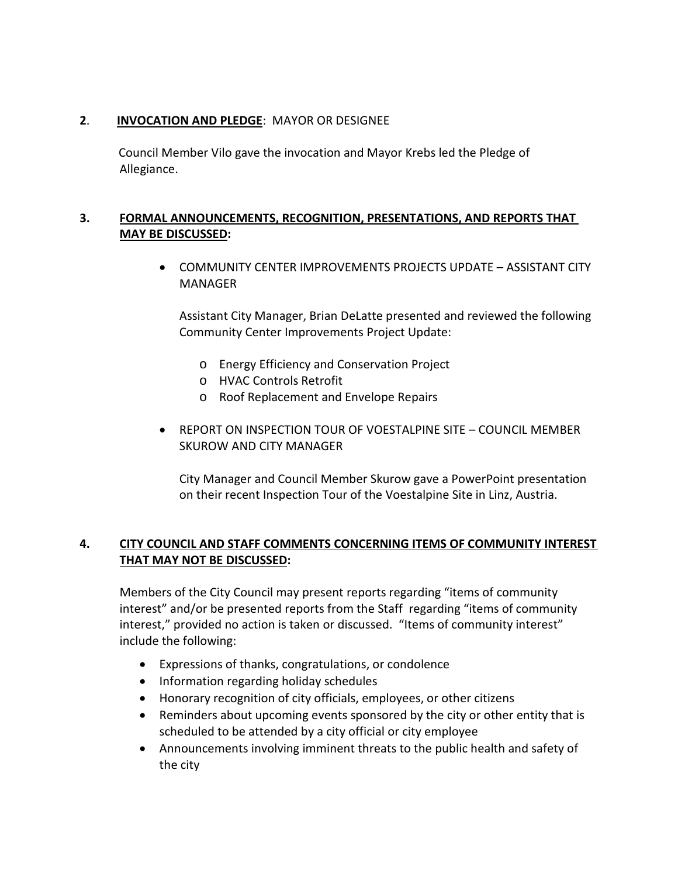#### **2**. **INVOCATION AND PLEDGE**: MAYOR OR DESIGNEE

 Council Member Vilo gave the invocation and Mayor Krebs led the Pledge of Allegiance.

#### **3. FORMAL ANNOUNCEMENTS, RECOGNITION, PRESENTATIONS, AND REPORTS THAT MAY BE DISCUSSED:**

• COMMUNITY CENTER IMPROVEMENTS PROJECTS UPDATE – ASSISTANT CITY MANAGER

Assistant City Manager, Brian DeLatte presented and reviewed the following Community Center Improvements Project Update:

- o Energy Efficiency and Conservation Project
- o HVAC Controls Retrofit
- o Roof Replacement and Envelope Repairs
- REPORT ON INSPECTION TOUR OF VOESTALPINE SITE COUNCIL MEMBER SKUROW AND CITY MANAGER

City Manager and Council Member Skurow gave a PowerPoint presentation on their recent Inspection Tour of the Voestalpine Site in Linz, Austria.

#### **4. CITY COUNCIL AND STAFF COMMENTS CONCERNING ITEMS OF COMMUNITY INTEREST THAT MAY NOT BE DISCUSSED:**

Members of the City Council may present reports regarding "items of community interest" and/or be presented reports from the Staff regarding "items of community interest," provided no action is taken or discussed. "Items of community interest" include the following:

- Expressions of thanks, congratulations, or condolence
- Information regarding holiday schedules
- Honorary recognition of city officials, employees, or other citizens
- Reminders about upcoming events sponsored by the city or other entity that is scheduled to be attended by a city official or city employee
- Announcements involving imminent threats to the public health and safety of the city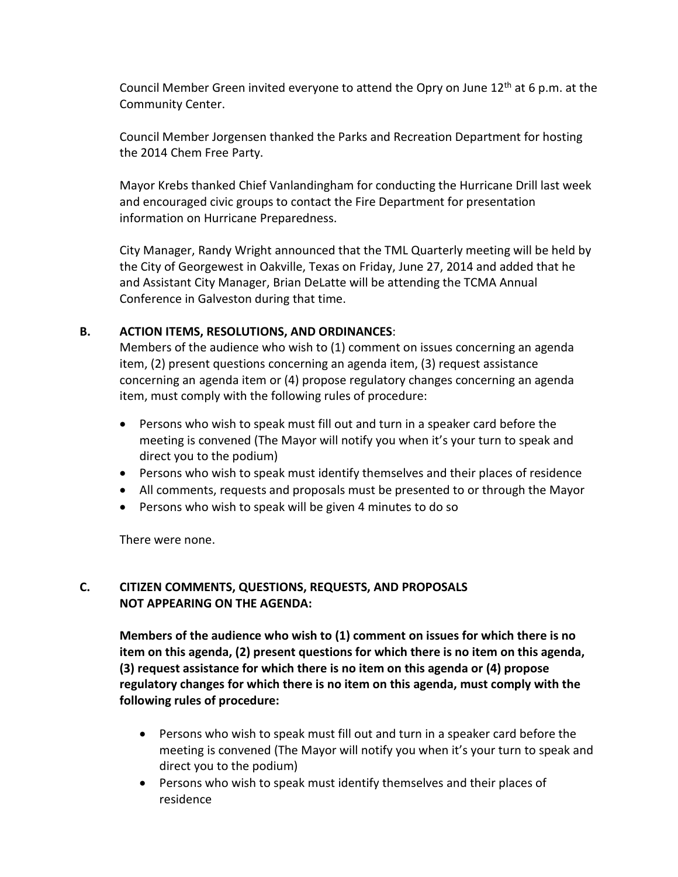Council Member Green invited everyone to attend the Opry on June  $12<sup>th</sup>$  at 6 p.m. at the Community Center.

Council Member Jorgensen thanked the Parks and Recreation Department for hosting the 2014 Chem Free Party.

Mayor Krebs thanked Chief Vanlandingham for conducting the Hurricane Drill last week and encouraged civic groups to contact the Fire Department for presentation information on Hurricane Preparedness.

City Manager, Randy Wright announced that the TML Quarterly meeting will be held by the City of Georgewest in Oakville, Texas on Friday, June 27, 2014 and added that he and Assistant City Manager, Brian DeLatte will be attending the TCMA Annual Conference in Galveston during that time.

#### **B. ACTION ITEMS, RESOLUTIONS, AND ORDINANCES**:

Members of the audience who wish to (1) comment on issues concerning an agenda item, (2) present questions concerning an agenda item, (3) request assistance concerning an agenda item or (4) propose regulatory changes concerning an agenda item, must comply with the following rules of procedure:

- Persons who wish to speak must fill out and turn in a speaker card before the meeting is convened (The Mayor will notify you when it's your turn to speak and direct you to the podium)
- Persons who wish to speak must identify themselves and their places of residence
- All comments, requests and proposals must be presented to or through the Mayor
- Persons who wish to speak will be given 4 minutes to do so

There were none.

#### **C. CITIZEN COMMENTS, QUESTIONS, REQUESTS, AND PROPOSALS NOT APPEARING ON THE AGENDA:**

**Members of the audience who wish to (1) comment on issues for which there is no item on this agenda, (2) present questions for which there is no item on this agenda, (3) request assistance for which there is no item on this agenda or (4) propose regulatory changes for which there is no item on this agenda, must comply with the following rules of procedure:** 

- Persons who wish to speak must fill out and turn in a speaker card before the meeting is convened (The Mayor will notify you when it's your turn to speak and direct you to the podium)
- Persons who wish to speak must identify themselves and their places of residence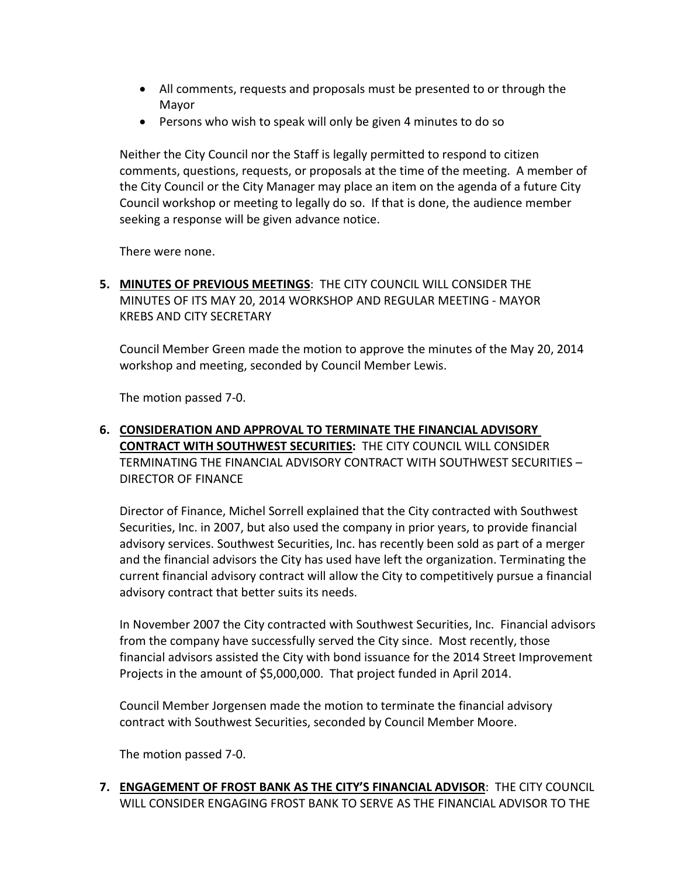- All comments, requests and proposals must be presented to or through the Mayor
- Persons who wish to speak will only be given 4 minutes to do so

Neither the City Council nor the Staff is legally permitted to respond to citizen comments, questions, requests, or proposals at the time of the meeting. A member of the City Council or the City Manager may place an item on the agenda of a future City Council workshop or meeting to legally do so. If that is done, the audience member seeking a response will be given advance notice.

There were none.

**5. MINUTES OF PREVIOUS MEETINGS**: THE CITY COUNCIL WILL CONSIDER THE MINUTES OF ITS MAY 20, 2014 WORKSHOP AND REGULAR MEETING - MAYOR KREBS AND CITY SECRETARY

Council Member Green made the motion to approve the minutes of the May 20, 2014 workshop and meeting, seconded by Council Member Lewis.

The motion passed 7-0.

#### **6. CONSIDERATION AND APPROVAL TO TERMINATE THE FINANCIAL ADVISORY CONTRACT WITH SOUTHWEST SECURITIES:** THE CITY COUNCIL WILL CONSIDER TERMINATING THE FINANCIAL ADVISORY CONTRACT WITH SOUTHWEST SECURITIES – DIRECTOR OF FINANCE

Director of Finance, Michel Sorrell explained that the City contracted with Southwest Securities, Inc. in 2007, but also used the company in prior years, to provide financial advisory services. Southwest Securities, Inc. has recently been sold as part of a merger and the financial advisors the City has used have left the organization. Terminating the current financial advisory contract will allow the City to competitively pursue a financial advisory contract that better suits its needs.

In November 2007 the City contracted with Southwest Securities, Inc. Financial advisors from the company have successfully served the City since. Most recently, those financial advisors assisted the City with bond issuance for the 2014 Street Improvement Projects in the amount of \$5,000,000. That project funded in April 2014.

Council Member Jorgensen made the motion to terminate the financial advisory contract with Southwest Securities, seconded by Council Member Moore.

The motion passed 7-0.

**7. ENGAGEMENT OF FROST BANK AS THE CITY'S FINANCIAL ADVISOR**: THE CITY COUNCIL WILL CONSIDER ENGAGING FROST BANK TO SERVE AS THE FINANCIAL ADVISOR TO THE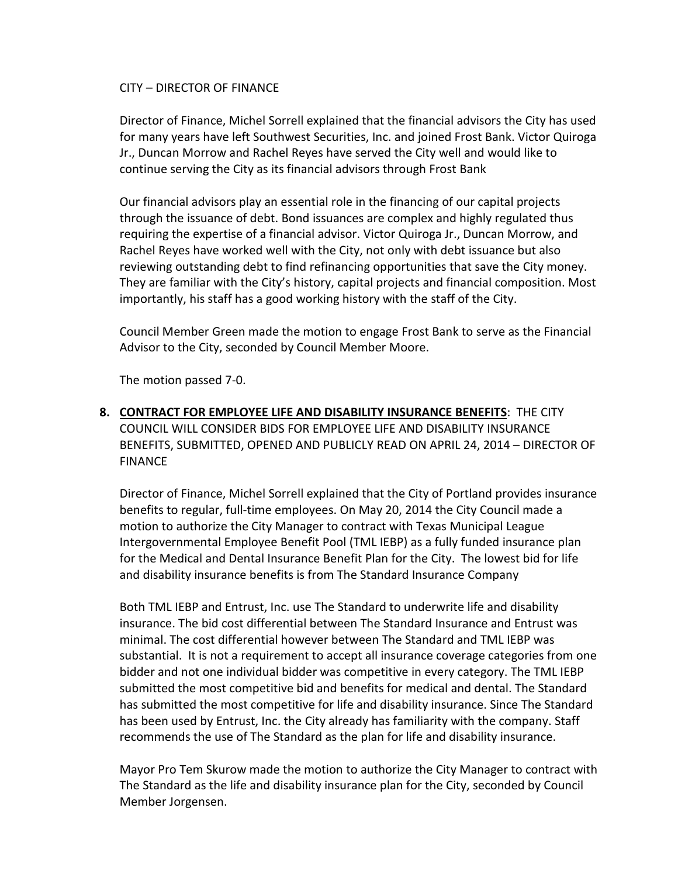#### CITY – DIRECTOR OF FINANCE

Director of Finance, Michel Sorrell explained that the financial advisors the City has used for many years have left Southwest Securities, Inc. and joined Frost Bank. Victor Quiroga Jr., Duncan Morrow and Rachel Reyes have served the City well and would like to continue serving the City as its financial advisors through Frost Bank

Our financial advisors play an essential role in the financing of our capital projects through the issuance of debt. Bond issuances are complex and highly regulated thus requiring the expertise of a financial advisor. Victor Quiroga Jr., Duncan Morrow, and Rachel Reyes have worked well with the City, not only with debt issuance but also reviewing outstanding debt to find refinancing opportunities that save the City money. They are familiar with the City's history, capital projects and financial composition. Most importantly, his staff has a good working history with the staff of the City.

Council Member Green made the motion to engage Frost Bank to serve as the Financial Advisor to the City, seconded by Council Member Moore.

The motion passed 7-0.

**8. CONTRACT FOR EMPLOYEE LIFE AND DISABILITY INSURANCE BENEFITS**: THE CITY COUNCIL WILL CONSIDER BIDS FOR EMPLOYEE LIFE AND DISABILITY INSURANCE BENEFITS, SUBMITTED, OPENED AND PUBLICLY READ ON APRIL 24, 2014 – DIRECTOR OF FINANCE

Director of Finance, Michel Sorrell explained that the City of Portland provides insurance benefits to regular, full-time employees. On May 20, 2014 the City Council made a motion to authorize the City Manager to contract with Texas Municipal League Intergovernmental Employee Benefit Pool (TML IEBP) as a fully funded insurance plan for the Medical and Dental Insurance Benefit Plan for the City. The lowest bid for life and disability insurance benefits is from The Standard Insurance Company

Both TML IEBP and Entrust, Inc. use The Standard to underwrite life and disability insurance. The bid cost differential between The Standard Insurance and Entrust was minimal. The cost differential however between The Standard and TML IEBP was substantial. It is not a requirement to accept all insurance coverage categories from one bidder and not one individual bidder was competitive in every category. The TML IEBP submitted the most competitive bid and benefits for medical and dental. The Standard has submitted the most competitive for life and disability insurance. Since The Standard has been used by Entrust, Inc. the City already has familiarity with the company. Staff recommends the use of The Standard as the plan for life and disability insurance.

Mayor Pro Tem Skurow made the motion to authorize the City Manager to contract with The Standard as the life and disability insurance plan for the City, seconded by Council Member Jorgensen.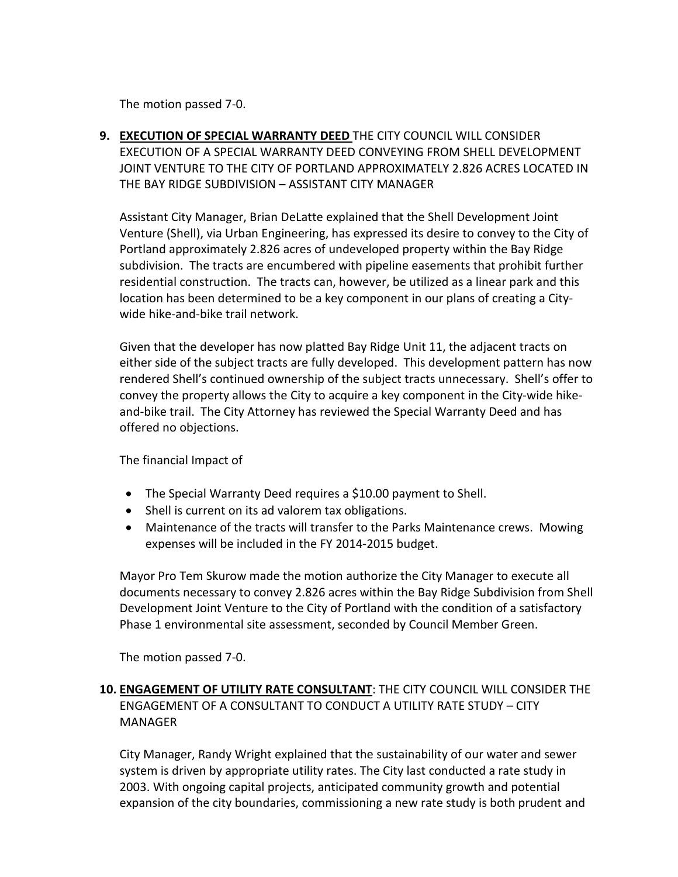The motion passed 7-0.

**9. EXECUTION OF SPECIAL WARRANTY DEED** THE CITY COUNCIL WILL CONSIDER EXECUTION OF A SPECIAL WARRANTY DEED CONVEYING FROM SHELL DEVELOPMENT JOINT VENTURE TO THE CITY OF PORTLAND APPROXIMATELY 2.826 ACRES LOCATED IN THE BAY RIDGE SUBDIVISION – ASSISTANT CITY MANAGER

Assistant City Manager, Brian DeLatte explained that the Shell Development Joint Venture (Shell), via Urban Engineering, has expressed its desire to convey to the City of Portland approximately 2.826 acres of undeveloped property within the Bay Ridge subdivision. The tracts are encumbered with pipeline easements that prohibit further residential construction. The tracts can, however, be utilized as a linear park and this location has been determined to be a key component in our plans of creating a Citywide hike-and-bike trail network.

Given that the developer has now platted Bay Ridge Unit 11, the adjacent tracts on either side of the subject tracts are fully developed. This development pattern has now rendered Shell's continued ownership of the subject tracts unnecessary. Shell's offer to convey the property allows the City to acquire a key component in the City-wide hikeand-bike trail. The City Attorney has reviewed the Special Warranty Deed and has offered no objections.

The financial Impact of

- The Special Warranty Deed requires a \$10.00 payment to Shell.
- Shell is current on its ad valorem tax obligations.
- Maintenance of the tracts will transfer to the Parks Maintenance crews. Mowing expenses will be included in the FY 2014-2015 budget.

Mayor Pro Tem Skurow made the motion authorize the City Manager to execute all documents necessary to convey 2.826 acres within the Bay Ridge Subdivision from Shell Development Joint Venture to the City of Portland with the condition of a satisfactory Phase 1 environmental site assessment, seconded by Council Member Green.

The motion passed 7-0.

#### **10. ENGAGEMENT OF UTILITY RATE CONSULTANT**: THE CITY COUNCIL WILL CONSIDER THE ENGAGEMENT OF A CONSULTANT TO CONDUCT A UTILITY RATE STUDY – CITY MANAGER

City Manager, Randy Wright explained that the sustainability of our water and sewer system is driven by appropriate utility rates. The City last conducted a rate study in 2003. With ongoing capital projects, anticipated community growth and potential expansion of the city boundaries, commissioning a new rate study is both prudent and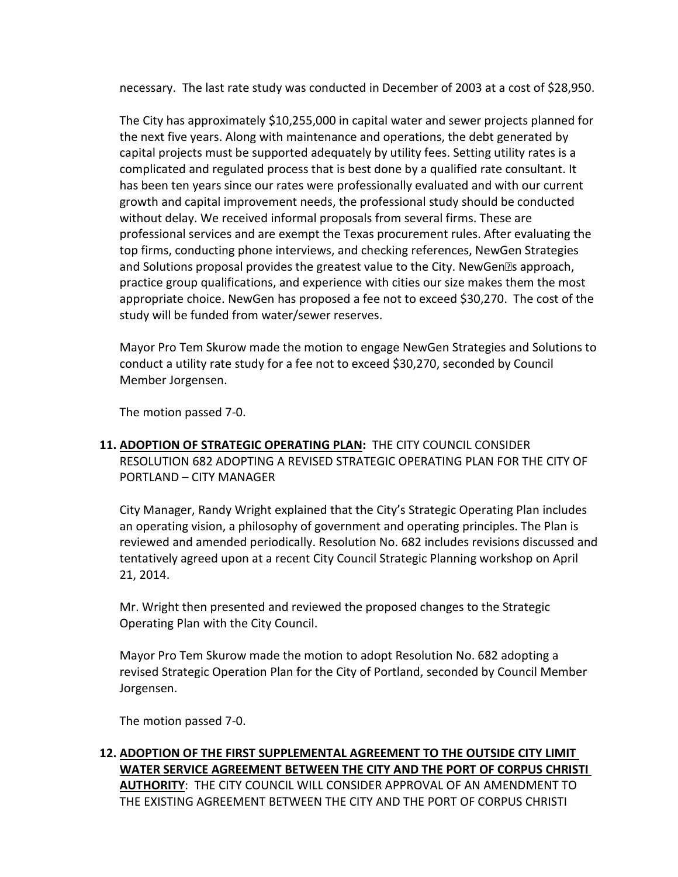necessary. The last rate study was conducted in December of 2003 at a cost of \$28,950.

The City has approximately \$10,255,000 in capital water and sewer projects planned for the next five years. Along with maintenance and operations, the debt generated by capital projects must be supported adequately by utility fees. Setting utility rates is a complicated and regulated process that is best done by a qualified rate consultant. It has been ten years since our rates were professionally evaluated and with our current growth and capital improvement needs, the professional study should be conducted without delay. We received informal proposals from several firms. These are professional services and are exempt the Texas procurement rules. After evaluating the top firms, conducting phone interviews, and checking references, NewGen Strategies and Solutions proposal provides the greatest value to the City. NewGen<sup>ol</sup>s approach, practice group qualifications, and experience with cities our size makes them the most appropriate choice. NewGen has proposed a fee not to exceed \$30,270. The cost of the study will be funded from water/sewer reserves.

Mayor Pro Tem Skurow made the motion to engage NewGen Strategies and Solutions to conduct a utility rate study for a fee not to exceed \$30,270, seconded by Council Member Jorgensen.

The motion passed 7-0.

**11. ADOPTION OF STRATEGIC OPERATING PLAN:** THE CITY COUNCIL CONSIDER RESOLUTION 682 ADOPTING A REVISED STRATEGIC OPERATING PLAN FOR THE CITY OF PORTLAND – CITY MANAGER

City Manager, Randy Wright explained that the City's Strategic Operating Plan includes an operating vision, a philosophy of government and operating principles. The Plan is reviewed and amended periodically. Resolution No. 682 includes revisions discussed and tentatively agreed upon at a recent City Council Strategic Planning workshop on April 21, 2014.

Mr. Wright then presented and reviewed the proposed changes to the Strategic Operating Plan with the City Council.

Mayor Pro Tem Skurow made the motion to adopt Resolution No. 682 adopting a revised Strategic Operation Plan for the City of Portland, seconded by Council Member Jorgensen.

The motion passed 7-0.

**12. ADOPTION OF THE FIRST SUPPLEMENTAL AGREEMENT TO THE OUTSIDE CITY LIMIT WATER SERVICE AGREEMENT BETWEEN THE CITY AND THE PORT OF CORPUS CHRISTI AUTHORITY**: THE CITY COUNCIL WILL CONSIDER APPROVAL OF AN AMENDMENT TO THE EXISTING AGREEMENT BETWEEN THE CITY AND THE PORT OF CORPUS CHRISTI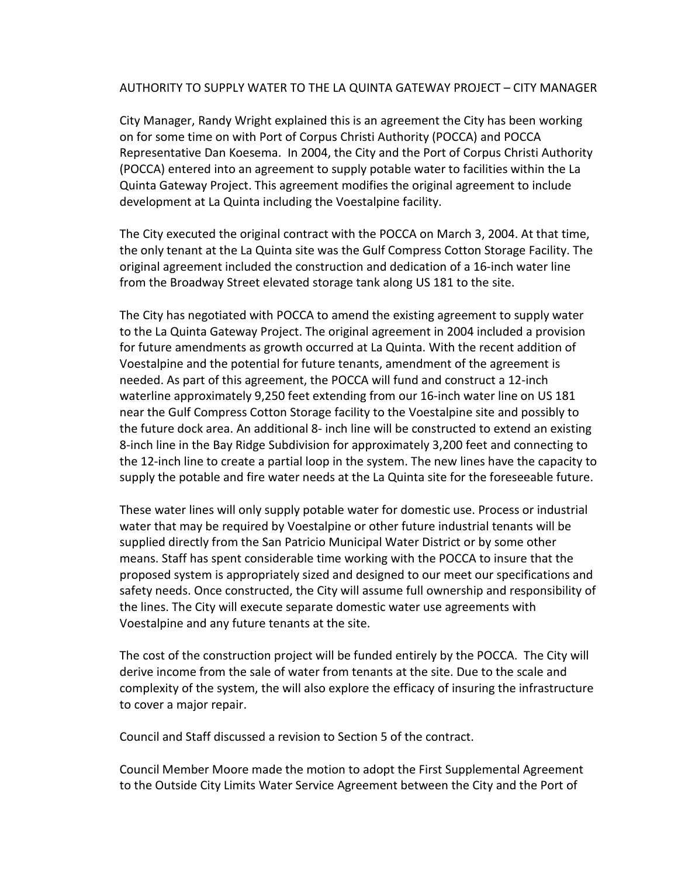#### AUTHORITY TO SUPPLY WATER TO THE LA QUINTA GATEWAY PROJECT – CITY MANAGER

City Manager, Randy Wright explained this is an agreement the City has been working on for some time on with Port of Corpus Christi Authority (POCCA) and POCCA Representative Dan Koesema. In 2004, the City and the Port of Corpus Christi Authority (POCCA) entered into an agreement to supply potable water to facilities within the La Quinta Gateway Project. This agreement modifies the original agreement to include development at La Quinta including the Voestalpine facility.

The City executed the original contract with the POCCA on March 3, 2004. At that time, the only tenant at the La Quinta site was the Gulf Compress Cotton Storage Facility. The original agreement included the construction and dedication of a 16-inch water line from the Broadway Street elevated storage tank along US 181 to the site.

The City has negotiated with POCCA to amend the existing agreement to supply water to the La Quinta Gateway Project. The original agreement in 2004 included a provision for future amendments as growth occurred at La Quinta. With the recent addition of Voestalpine and the potential for future tenants, amendment of the agreement is needed. As part of this agreement, the POCCA will fund and construct a 12-inch waterline approximately 9,250 feet extending from our 16-inch water line on US 181 near the Gulf Compress Cotton Storage facility to the Voestalpine site and possibly to the future dock area. An additional 8- inch line will be constructed to extend an existing 8-inch line in the Bay Ridge Subdivision for approximately 3,200 feet and connecting to the 12-inch line to create a partial loop in the system. The new lines have the capacity to supply the potable and fire water needs at the La Quinta site for the foreseeable future.

These water lines will only supply potable water for domestic use. Process or industrial water that may be required by Voestalpine or other future industrial tenants will be supplied directly from the San Patricio Municipal Water District or by some other means. Staff has spent considerable time working with the POCCA to insure that the proposed system is appropriately sized and designed to our meet our specifications and safety needs. Once constructed, the City will assume full ownership and responsibility of the lines. The City will execute separate domestic water use agreements with Voestalpine and any future tenants at the site.

The cost of the construction project will be funded entirely by the POCCA. The City will derive income from the sale of water from tenants at the site. Due to the scale and complexity of the system, the will also explore the efficacy of insuring the infrastructure to cover a major repair.

Council and Staff discussed a revision to Section 5 of the contract.

Council Member Moore made the motion to adopt the First Supplemental Agreement to the Outside City Limits Water Service Agreement between the City and the Port of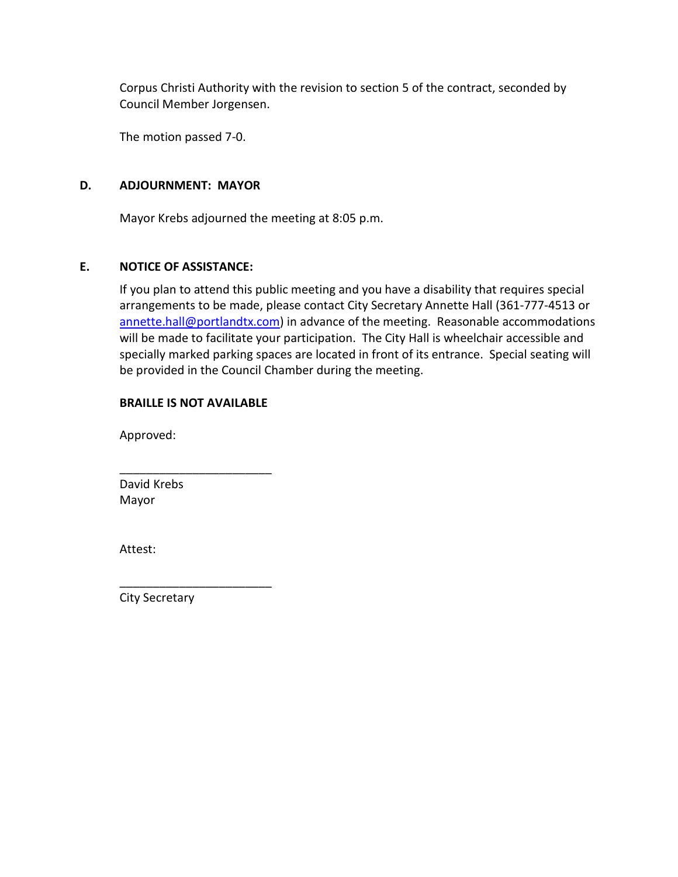Corpus Christi Authority with the revision to section 5 of the contract, seconded by Council Member Jorgensen.

The motion passed 7-0.

#### **D. ADJOURNMENT: MAYOR**

Mayor Krebs adjourned the meeting at 8:05 p.m.

#### **E. NOTICE OF ASSISTANCE:**

If you plan to attend this public meeting and you have a disability that requires special arrangements to be made, please contact City Secretary Annette Hall (361-777-4513 or [annette.hall@portlandtx.com\)](mailto:annette.hall@portlandtx.com) in advance of the meeting. Reasonable accommodations will be made to facilitate your participation. The City Hall is wheelchair accessible and specially marked parking spaces are located in front of its entrance. Special seating will be provided in the Council Chamber during the meeting.

#### **BRAILLE IS NOT AVAILABLE**

\_\_\_\_\_\_\_\_\_\_\_\_\_\_\_\_\_\_\_\_\_\_\_

Approved:

\_\_\_\_\_\_\_\_\_\_\_\_\_\_\_\_\_\_\_\_\_\_\_ David Krebs Mayor

Attest:

City Secretary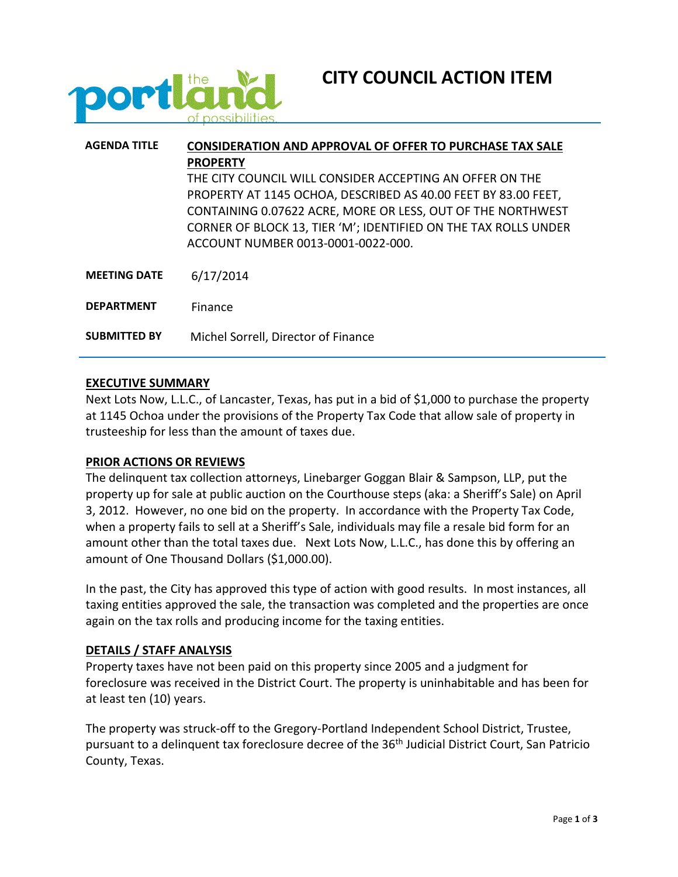



| <b>AGENDA TITLE</b> | <b>CONSIDERATION AND APPROVAL OF OFFER TO PURCHASE TAX SALE</b> |  |  |  |
|---------------------|-----------------------------------------------------------------|--|--|--|
|                     | <b>PROPERTY</b>                                                 |  |  |  |
|                     | THE CITY COUNCIL WILL CONSIDER ACCEPTING AN OFFER ON THE        |  |  |  |
|                     | PROPERTY AT 1145 OCHOA, DESCRIBED AS 40.00 FEET BY 83.00 FEET,  |  |  |  |
|                     | CONTAINING 0.07622 ACRE, MORE OR LESS, OUT OF THE NORTHWEST     |  |  |  |
|                     | CORNER OF BLOCK 13, TIER 'M'; IDENTIFIED ON THE TAX ROLLS UNDER |  |  |  |
|                     | ACCOUNT NUMBER 0013-0001-0022-000.                              |  |  |  |
|                     |                                                                 |  |  |  |
| <b>MEETING DATE</b> | 6/17/2014                                                       |  |  |  |
|                     |                                                                 |  |  |  |
| <b>DEPARTMENT</b>   | Finance                                                         |  |  |  |
| <b>SUBMITTED BY</b> | Michel Sorrell, Director of Finance                             |  |  |  |

#### **EXECUTIVE SUMMARY**

Next Lots Now, L.L.C., of Lancaster, Texas, has put in a bid of \$1,000 to purchase the property at 1145 Ochoa under the provisions of the Property Tax Code that allow sale of property in trusteeship for less than the amount of taxes due.

#### **PRIOR ACTIONS OR REVIEWS**

The delinquent tax collection attorneys, Linebarger Goggan Blair & Sampson, LLP, put the property up for sale at public auction on the Courthouse steps (aka: a Sheriff's Sale) on April 3, 2012. However, no one bid on the property. In accordance with the Property Tax Code, when a property fails to sell at a Sheriff's Sale, individuals may file a resale bid form for an amount other than the total taxes due. Next Lots Now, L.L.C., has done this by offering an amount of One Thousand Dollars (\$1,000.00).

In the past, the City has approved this type of action with good results. In most instances, all taxing entities approved the sale, the transaction was completed and the properties are once again on the tax rolls and producing income for the taxing entities.

#### **DETAILS / STAFF ANALYSIS**

Property taxes have not been paid on this property since 2005 and a judgment for foreclosure was received in the District Court. The property is uninhabitable and has been for at least ten (10) years.

The property was struck-off to the Gregory-Portland Independent School District, Trustee, pursuant to a delinguent tax foreclosure decree of the 36<sup>th</sup> Judicial District Court, San Patricio County, Texas.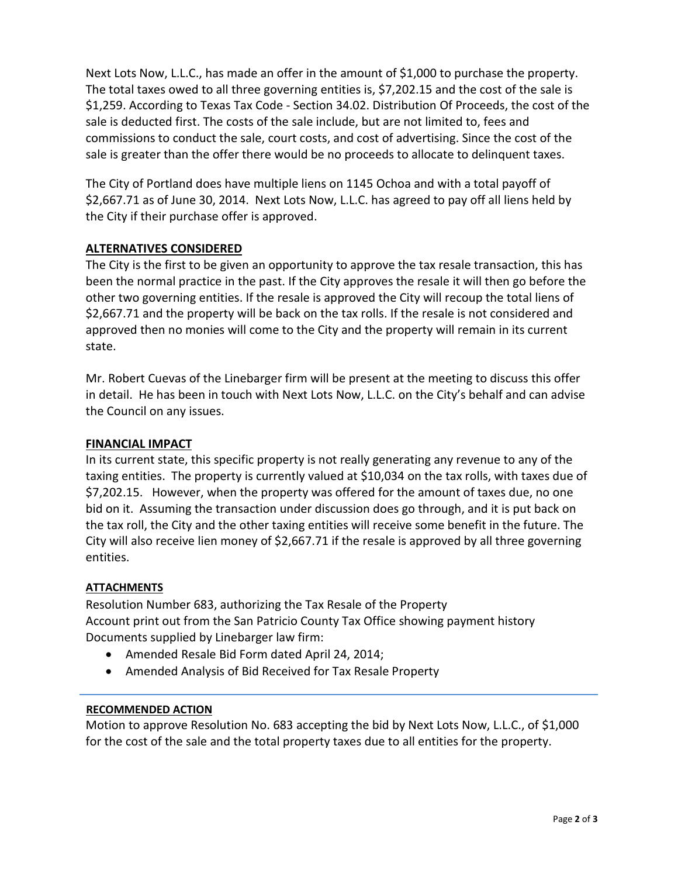Next Lots Now, L.L.C., has made an offer in the amount of \$1,000 to purchase the property. The total taxes owed to all three governing entities is, \$7,202.15 and the cost of the sale is \$1,259. According to Texas Tax Code - Section 34.02. Distribution Of Proceeds, the cost of the sale is deducted first. The costs of the sale include, but are not limited to, fees and commissions to conduct the sale, court costs, and cost of advertising. Since the cost of the sale is greater than the offer there would be no proceeds to allocate to delinquent taxes.

The City of Portland does have multiple liens on 1145 Ochoa and with a total payoff of \$2,667.71 as of June 30, 2014. Next Lots Now, L.L.C. has agreed to pay off all liens held by the City if their purchase offer is approved.

#### **ALTERNATIVES CONSIDERED**

The City is the first to be given an opportunity to approve the tax resale transaction, this has been the normal practice in the past. If the City approves the resale it will then go before the other two governing entities. If the resale is approved the City will recoup the total liens of \$2,667.71 and the property will be back on the tax rolls. If the resale is not considered and approved then no monies will come to the City and the property will remain in its current state.

Mr. Robert Cuevas of the Linebarger firm will be present at the meeting to discuss this offer in detail. He has been in touch with Next Lots Now, L.L.C. on the City's behalf and can advise the Council on any issues.

#### **FINANCIAL IMPACT**

In its current state, this specific property is not really generating any revenue to any of the taxing entities. The property is currently valued at \$10,034 on the tax rolls, with taxes due of \$7,202.15. However, when the property was offered for the amount of taxes due, no one bid on it. Assuming the transaction under discussion does go through, and it is put back on the tax roll, the City and the other taxing entities will receive some benefit in the future. The City will also receive lien money of \$2,667.71 if the resale is approved by all three governing entities.

#### **ATTACHMENTS**

Resolution Number 683, authorizing the Tax Resale of the Property Account print out from the San Patricio County Tax Office showing payment history Documents supplied by Linebarger law firm:

- Amended Resale Bid Form dated April 24, 2014;
- Amended Analysis of Bid Received for Tax Resale Property

#### **RECOMMENDED ACTION**

Motion to approve Resolution No. 683 accepting the bid by Next Lots Now, L.L.C., of \$1,000 for the cost of the sale and the total property taxes due to all entities for the property.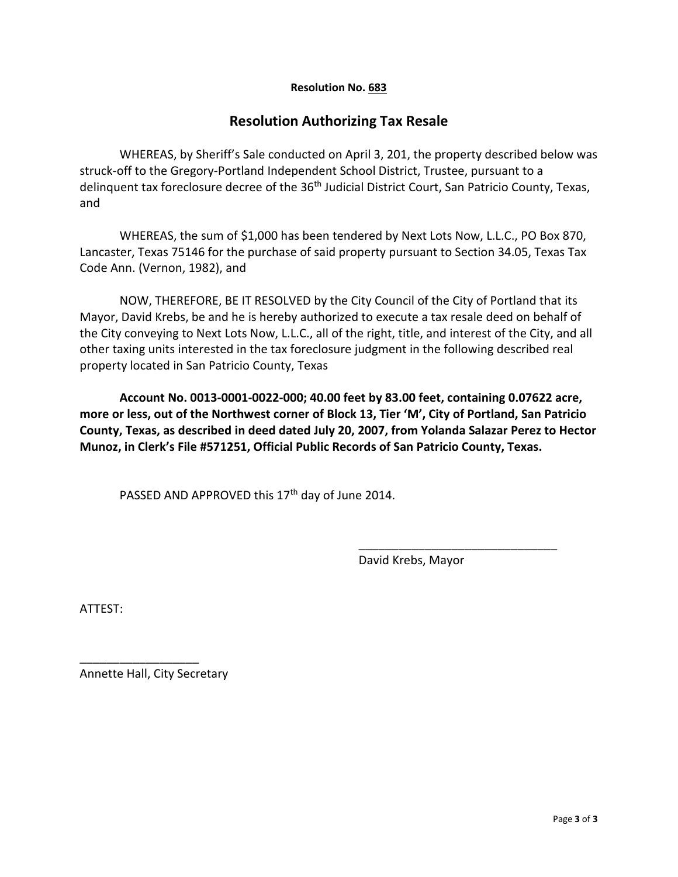#### **Resolution No. 683**

#### **Resolution Authorizing Tax Resale**

WHEREAS, by Sheriff's Sale conducted on April 3, 201, the property described below was struck-off to the Gregory-Portland Independent School District, Trustee, pursuant to a delinquent tax foreclosure decree of the 36<sup>th</sup> Judicial District Court, San Patricio County, Texas, and

WHEREAS, the sum of \$1,000 has been tendered by Next Lots Now, L.L.C., PO Box 870, Lancaster, Texas 75146 for the purchase of said property pursuant to Section 34.05, Texas Tax Code Ann. (Vernon, 1982), and

NOW, THEREFORE, BE IT RESOLVED by the City Council of the City of Portland that its Mayor, David Krebs, be and he is hereby authorized to execute a tax resale deed on behalf of the City conveying to Next Lots Now, L.L.C., all of the right, title, and interest of the City, and all other taxing units interested in the tax foreclosure judgment in the following described real property located in San Patricio County, Texas

**Account No. 0013-0001-0022-000; 40.00 feet by 83.00 feet, containing 0.07622 acre, more or less, out of the Northwest corner of Block 13, Tier 'M', City of Portland, San Patricio County, Texas, as described in deed dated July 20, 2007, from Yolanda Salazar Perez to Hector Munoz, in Clerk's File #571251, Official Public Records of San Patricio County, Texas.**

PASSED AND APPROVED this 17<sup>th</sup> day of June 2014.

David Krebs, Mayor

\_\_\_\_\_\_\_\_\_\_\_\_\_\_\_\_\_\_\_\_\_\_\_\_\_\_\_\_\_\_

ATTEST:

Annette Hall, City Secretary

\_\_\_\_\_\_\_\_\_\_\_\_\_\_\_\_\_\_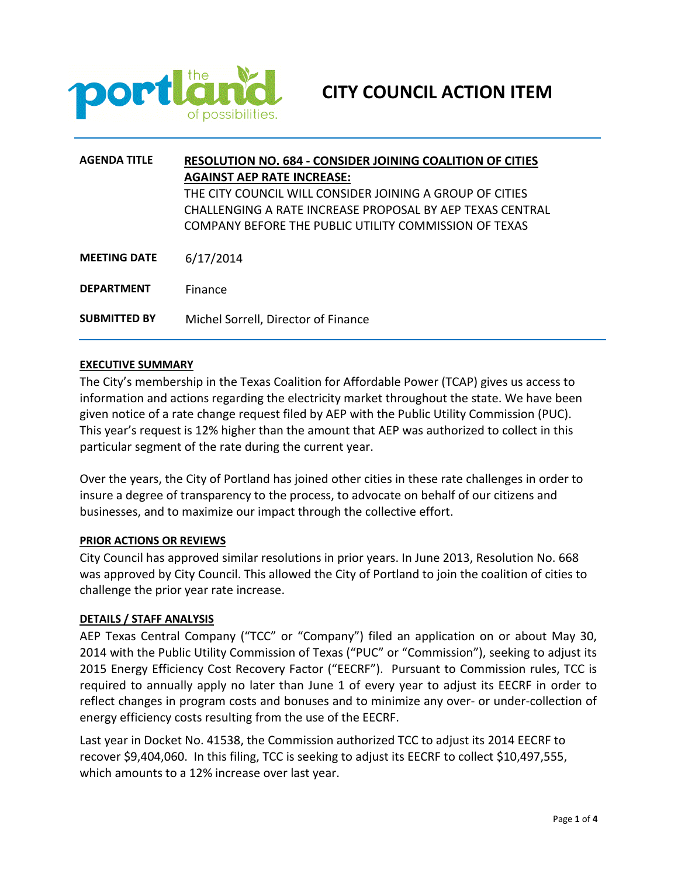

| <b>AGENDA TITLE</b> | <b>RESOLUTION NO. 684 - CONSIDER JOINING COALITION OF CITIES</b> |  |  |  |  |
|---------------------|------------------------------------------------------------------|--|--|--|--|
|                     | <b>AGAINST AEP RATE INCREASE:</b>                                |  |  |  |  |
|                     | THE CITY COUNCIL WILL CONSIDER JOINING A GROUP OF CITIES         |  |  |  |  |
|                     | CHALLENGING A RATE INCREASE PROPOSAL BY AEP TEXAS CENTRAL        |  |  |  |  |
|                     | COMPANY BEFORE THE PUBLIC UTILITY COMMISSION OF TEXAS            |  |  |  |  |
|                     |                                                                  |  |  |  |  |
| <b>MEETING DATE</b> | 6/17/2014                                                        |  |  |  |  |
| <b>DEPARTMENT</b>   | Finance                                                          |  |  |  |  |
| <b>SUBMITTED BY</b> | Michel Sorrell, Director of Finance                              |  |  |  |  |

#### **EXECUTIVE SUMMARY**

The City's membership in the Texas Coalition for Affordable Power (TCAP) gives us access to information and actions regarding the electricity market throughout the state. We have been given notice of a rate change request filed by AEP with the Public Utility Commission (PUC). This year's request is 12% higher than the amount that AEP was authorized to collect in this particular segment of the rate during the current year.

Over the years, the City of Portland has joined other cities in these rate challenges in order to insure a degree of transparency to the process, to advocate on behalf of our citizens and businesses, and to maximize our impact through the collective effort.

#### **PRIOR ACTIONS OR REVIEWS**

City Council has approved similar resolutions in prior years. In June 2013, Resolution No. 668 was approved by City Council. This allowed the City of Portland to join the coalition of cities to challenge the prior year rate increase.

#### **DETAILS / STAFF ANALYSIS**

AEP Texas Central Company ("TCC" or "Company") filed an application on or about May 30, 2014 with the Public Utility Commission of Texas ("PUC" or "Commission"), seeking to adjust its 2015 Energy Efficiency Cost Recovery Factor ("EECRF"). Pursuant to Commission rules, TCC is required to annually apply no later than June 1 of every year to adjust its EECRF in order to reflect changes in program costs and bonuses and to minimize any over- or under-collection of energy efficiency costs resulting from the use of the EECRF.

Last year in Docket No. 41538, the Commission authorized TCC to adjust its 2014 EECRF to recover \$9,404,060. In this filing, TCC is seeking to adjust its EECRF to collect \$10,497,555, which amounts to a 12% increase over last year.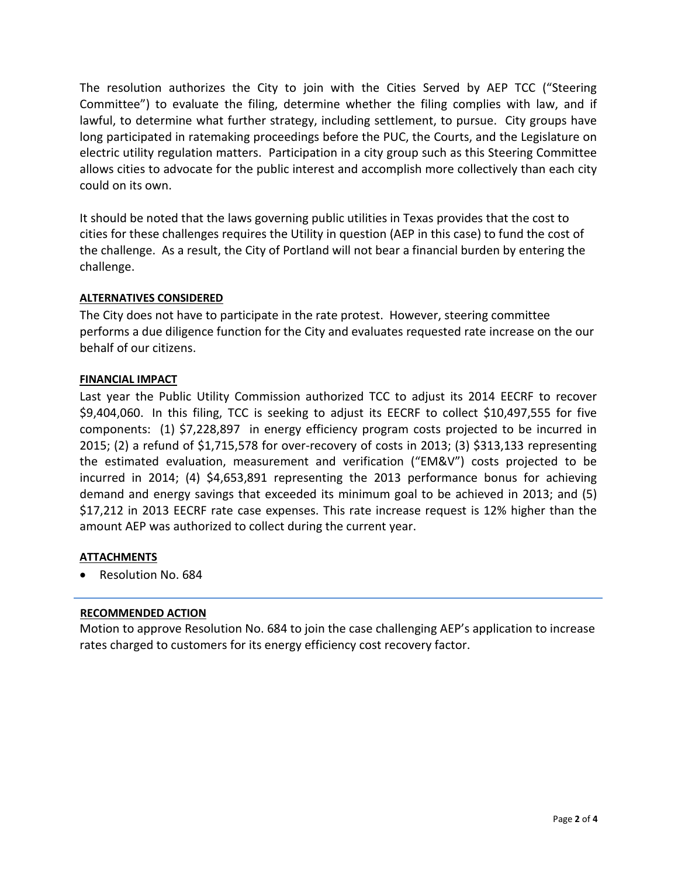The resolution authorizes the City to join with the Cities Served by AEP TCC ("Steering Committee") to evaluate the filing, determine whether the filing complies with law, and if lawful, to determine what further strategy, including settlement, to pursue. City groups have long participated in ratemaking proceedings before the PUC, the Courts, and the Legislature on electric utility regulation matters. Participation in a city group such as this Steering Committee allows cities to advocate for the public interest and accomplish more collectively than each city could on its own.

It should be noted that the laws governing public utilities in Texas provides that the cost to cities for these challenges requires the Utility in question (AEP in this case) to fund the cost of the challenge. As a result, the City of Portland will not bear a financial burden by entering the challenge.

#### **ALTERNATIVES CONSIDERED**

The City does not have to participate in the rate protest. However, steering committee performs a due diligence function for the City and evaluates requested rate increase on the our behalf of our citizens.

#### **FINANCIAL IMPACT**

Last year the Public Utility Commission authorized TCC to adjust its 2014 EECRF to recover \$9,404,060. In this filing, TCC is seeking to adjust its EECRF to collect \$10,497,555 for five components: (1) \$7,228,897 in energy efficiency program costs projected to be incurred in 2015; (2) a refund of \$1,715,578 for over-recovery of costs in 2013; (3) \$313,133 representing the estimated evaluation, measurement and verification ("EM&V") costs projected to be incurred in 2014; (4) \$4,653,891 representing the 2013 performance bonus for achieving demand and energy savings that exceeded its minimum goal to be achieved in 2013; and (5) \$17,212 in 2013 EECRF rate case expenses. This rate increase request is 12% higher than the amount AEP was authorized to collect during the current year.

#### **ATTACHMENTS**

• Resolution No. 684

#### **RECOMMENDED ACTION**

Motion to approve Resolution No. 684 to join the case challenging AEP's application to increase rates charged to customers for its energy efficiency cost recovery factor.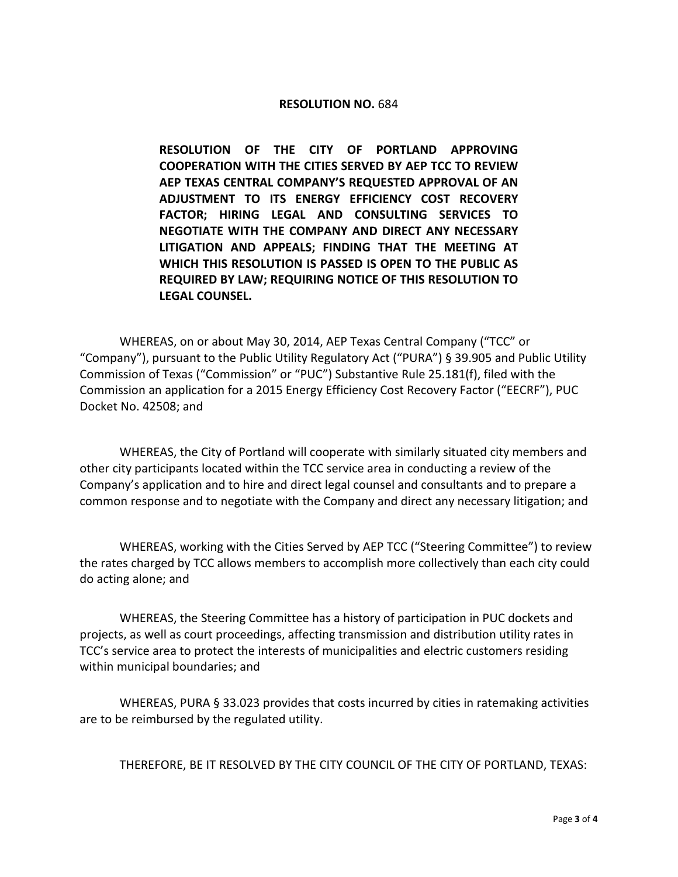#### **RESOLUTION NO.** 684

**RESOLUTION OF THE CITY OF PORTLAND APPROVING COOPERATION WITH THE CITIES SERVED BY AEP TCC TO REVIEW AEP TEXAS CENTRAL COMPANY'S REQUESTED APPROVAL OF AN ADJUSTMENT TO ITS ENERGY EFFICIENCY COST RECOVERY FACTOR; HIRING LEGAL AND CONSULTING SERVICES TO NEGOTIATE WITH THE COMPANY AND DIRECT ANY NECESSARY LITIGATION AND APPEALS; FINDING THAT THE MEETING AT WHICH THIS RESOLUTION IS PASSED IS OPEN TO THE PUBLIC AS REQUIRED BY LAW; REQUIRING NOTICE OF THIS RESOLUTION TO LEGAL COUNSEL.**

WHEREAS, on or about May 30, 2014, AEP Texas Central Company ("TCC" or "Company"), pursuant to the Public Utility Regulatory Act ("PURA") § 39.905 and Public Utility Commission of Texas ("Commission" or "PUC") Substantive Rule 25.181(f), filed with the Commission an application for a 2015 Energy Efficiency Cost Recovery Factor ("EECRF"), PUC Docket No. 42508; and

WHEREAS, the City of Portland will cooperate with similarly situated city members and other city participants located within the TCC service area in conducting a review of the Company's application and to hire and direct legal counsel and consultants and to prepare a common response and to negotiate with the Company and direct any necessary litigation; and

WHEREAS, working with the Cities Served by AEP TCC ("Steering Committee") to review the rates charged by TCC allows members to accomplish more collectively than each city could do acting alone; and

WHEREAS, the Steering Committee has a history of participation in PUC dockets and projects, as well as court proceedings, affecting transmission and distribution utility rates in TCC's service area to protect the interests of municipalities and electric customers residing within municipal boundaries; and

WHEREAS, PURA § 33.023 provides that costs incurred by cities in ratemaking activities are to be reimbursed by the regulated utility.

THEREFORE, BE IT RESOLVED BY THE CITY COUNCIL OF THE CITY OF PORTLAND, TEXAS: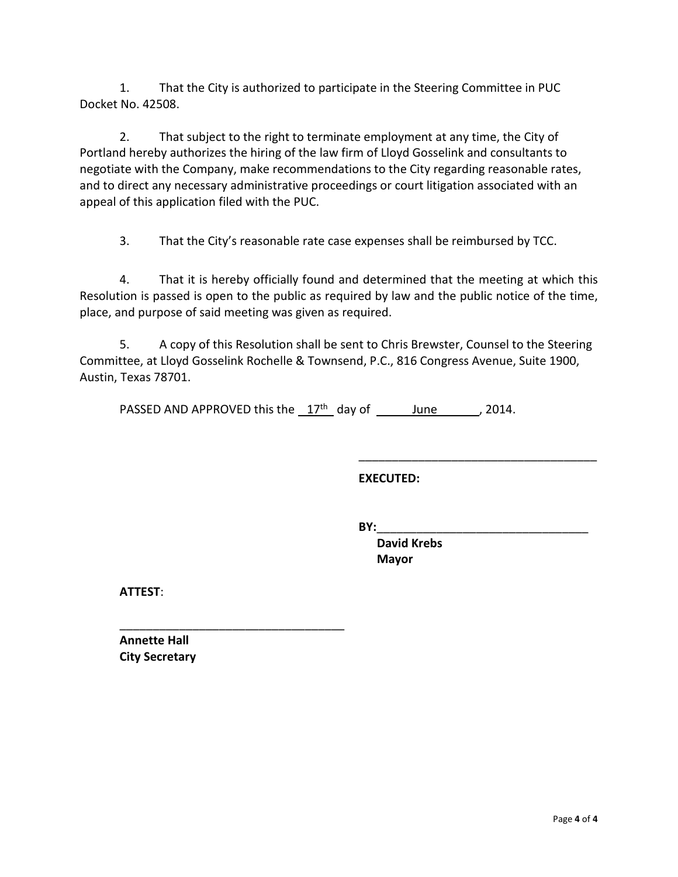1. That the City is authorized to participate in the Steering Committee in PUC Docket No. 42508.

2. That subject to the right to terminate employment at any time, the City of Portland hereby authorizes the hiring of the law firm of Lloyd Gosselink and consultants to negotiate with the Company, make recommendations to the City regarding reasonable rates, and to direct any necessary administrative proceedings or court litigation associated with an appeal of this application filed with the PUC.

3. That the City's reasonable rate case expenses shall be reimbursed by TCC.

4. That it is hereby officially found and determined that the meeting at which this Resolution is passed is open to the public as required by law and the public notice of the time, place, and purpose of said meeting was given as required.

5. A copy of this Resolution shall be sent to Chris Brewster, Counsel to the Steering Committee, at Lloyd Gosselink Rochelle & Townsend, P.C., 816 Congress Avenue, Suite 1900, Austin, Texas 78701.

PASSED AND APPROVED this the  $17<sup>th</sup>$  day of June , 2014.

**EXECUTED:**

**BY:**\_\_\_\_\_\_\_\_\_\_\_\_\_\_\_\_\_\_\_\_\_\_\_\_\_\_\_\_\_\_\_\_

 **David Krebs Mayor**

\_\_\_\_\_\_\_\_\_\_\_\_\_\_\_\_\_\_\_\_\_\_\_\_\_\_\_\_\_\_\_\_\_\_\_\_

**ATTEST**:

**Annette Hall City Secretary**

\_\_\_\_\_\_\_\_\_\_\_\_\_\_\_\_\_\_\_\_\_\_\_\_\_\_\_\_\_\_\_\_\_\_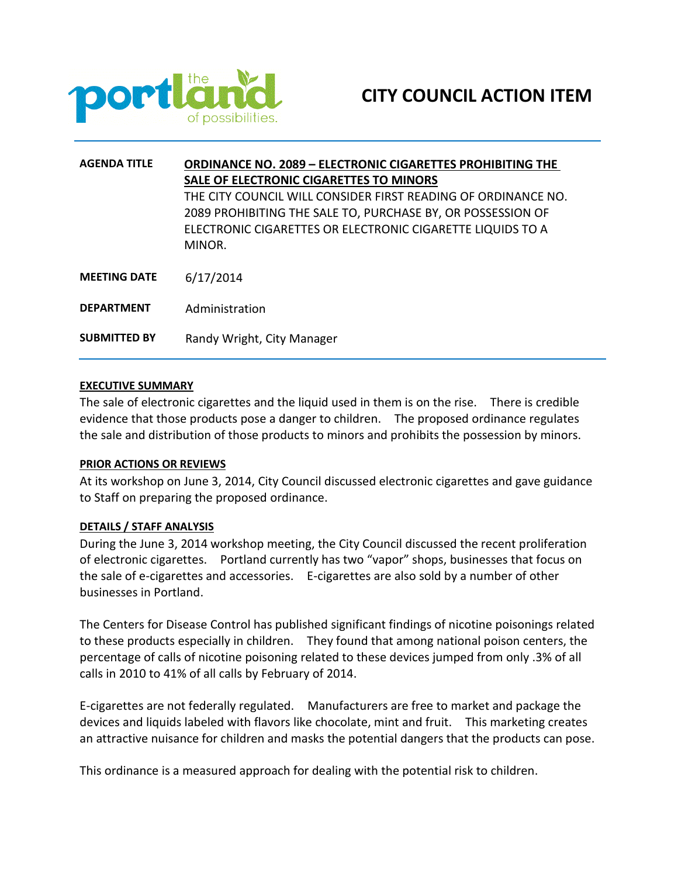

| <b>AGENDA TITLE</b> | <b>ORDINANCE NO. 2089 - ELECTRONIC CIGARETTES PROHIBITING THE</b><br>SALE OF ELECTRONIC CIGARETTES TO MINORS                                                                                         |  |  |
|---------------------|------------------------------------------------------------------------------------------------------------------------------------------------------------------------------------------------------|--|--|
|                     | THE CITY COUNCIL WILL CONSIDER FIRST READING OF ORDINANCE NO.<br>2089 PROHIBITING THE SALE TO, PURCHASE BY, OR POSSESSION OF<br>ELECTRONIC CIGARETTES OR ELECTRONIC CIGARETTE LIQUIDS TO A<br>MINOR. |  |  |
| <b>MEETING DATE</b> | 6/17/2014                                                                                                                                                                                            |  |  |
| <b>DEPARTMENT</b>   | Administration                                                                                                                                                                                       |  |  |
| <b>SUBMITTED BY</b> | Randy Wright, City Manager                                                                                                                                                                           |  |  |

#### **EXECUTIVE SUMMARY**

The sale of electronic cigarettes and the liquid used in them is on the rise. There is credible evidence that those products pose a danger to children. The proposed ordinance regulates the sale and distribution of those products to minors and prohibits the possession by minors.

#### **PRIOR ACTIONS OR REVIEWS**

At its workshop on June 3, 2014, City Council discussed electronic cigarettes and gave guidance to Staff on preparing the proposed ordinance.

#### **DETAILS / STAFF ANALYSIS**

During the June 3, 2014 workshop meeting, the City Council discussed the recent proliferation of electronic cigarettes. Portland currently has two "vapor" shops, businesses that focus on the sale of e-cigarettes and accessories. E-cigarettes are also sold by a number of other businesses in Portland.

The Centers for Disease Control has published significant findings of nicotine poisonings related to these products especially in children. They found that among national poison centers, the percentage of calls of nicotine poisoning related to these devices jumped from only .3% of all calls in 2010 to 41% of all calls by February of 2014.

E-cigarettes are not federally regulated. Manufacturers are free to market and package the devices and liquids labeled with flavors like chocolate, mint and fruit. This marketing creates an attractive nuisance for children and masks the potential dangers that the products can pose.

This ordinance is a measured approach for dealing with the potential risk to children.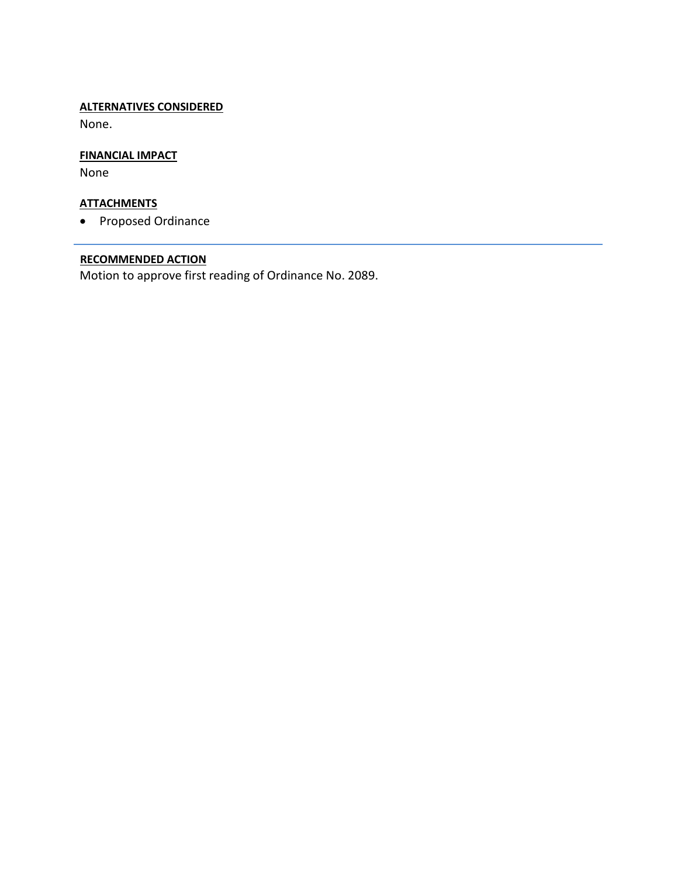#### **ALTERNATIVES CONSIDERED**

None.

#### **FINANCIAL IMPACT**

None

#### **ATTACHMENTS**

• Proposed Ordinance

#### **RECOMMENDED ACTION**

Motion to approve first reading of Ordinance No. 2089.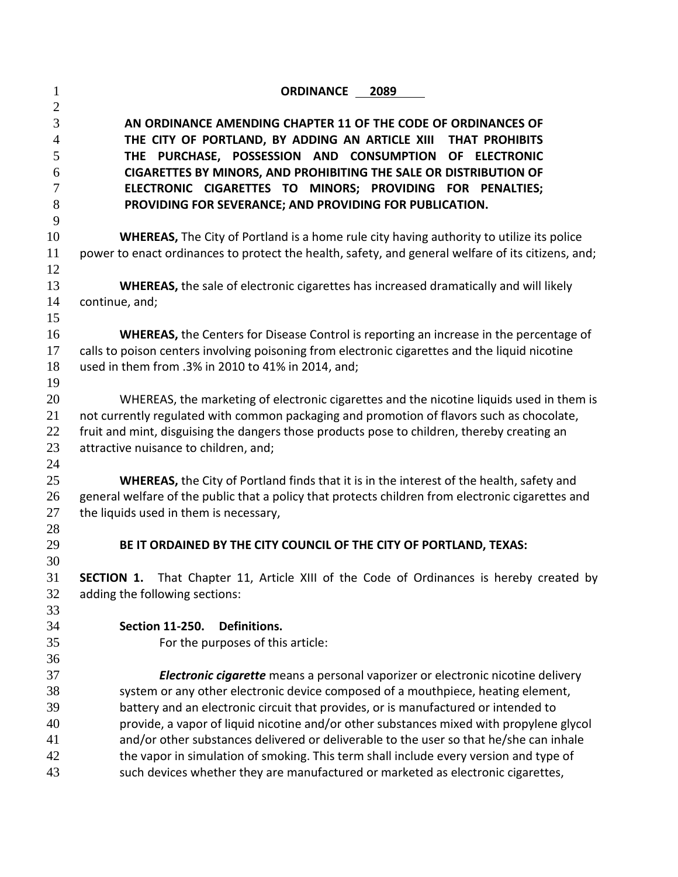| $\mathbf{1}$   | <b>ORDINANCE 2089</b>                                                                                                                                                                           |  |  |  |  |
|----------------|-------------------------------------------------------------------------------------------------------------------------------------------------------------------------------------------------|--|--|--|--|
| $\mathbf{2}$   |                                                                                                                                                                                                 |  |  |  |  |
| 3              | AN ORDINANCE AMENDING CHAPTER 11 OF THE CODE OF ORDINANCES OF                                                                                                                                   |  |  |  |  |
| $\overline{4}$ | THE CITY OF PORTLAND, BY ADDING AN ARTICLE XIII THAT PROHIBITS                                                                                                                                  |  |  |  |  |
| 5              | THE PURCHASE, POSSESSION AND CONSUMPTION<br>OF ELECTRONIC                                                                                                                                       |  |  |  |  |
| 6              | CIGARETTES BY MINORS, AND PROHIBITING THE SALE OR DISTRIBUTION OF                                                                                                                               |  |  |  |  |
| 7              | ELECTRONIC CIGARETTES TO MINORS; PROVIDING FOR PENALTIES;                                                                                                                                       |  |  |  |  |
| 8              | PROVIDING FOR SEVERANCE; AND PROVIDING FOR PUBLICATION.                                                                                                                                         |  |  |  |  |
| 9              |                                                                                                                                                                                                 |  |  |  |  |
| 10             | <b>WHEREAS,</b> The City of Portland is a home rule city having authority to utilize its police                                                                                                 |  |  |  |  |
| 11             | power to enact ordinances to protect the health, safety, and general welfare of its citizens, and;                                                                                              |  |  |  |  |
| 12             |                                                                                                                                                                                                 |  |  |  |  |
| 13             | <b>WHEREAS</b> , the sale of electronic cigarettes has increased dramatically and will likely                                                                                                   |  |  |  |  |
| 14             | continue, and;                                                                                                                                                                                  |  |  |  |  |
| 15             |                                                                                                                                                                                                 |  |  |  |  |
| 16<br>17       | <b>WHEREAS, the Centers for Disease Control is reporting an increase in the percentage of</b><br>calls to poison centers involving poisoning from electronic cigarettes and the liquid nicotine |  |  |  |  |
| 18             | used in them from .3% in 2010 to 41% in 2014, and;                                                                                                                                              |  |  |  |  |
| 19             |                                                                                                                                                                                                 |  |  |  |  |
| 20             | WHEREAS, the marketing of electronic cigarettes and the nicotine liquids used in them is                                                                                                        |  |  |  |  |
| 21             | not currently regulated with common packaging and promotion of flavors such as chocolate,                                                                                                       |  |  |  |  |
| 22             | fruit and mint, disguising the dangers those products pose to children, thereby creating an                                                                                                     |  |  |  |  |
| 23             | attractive nuisance to children, and;                                                                                                                                                           |  |  |  |  |
| 24             |                                                                                                                                                                                                 |  |  |  |  |
| 25             | WHEREAS, the City of Portland finds that it is in the interest of the health, safety and                                                                                                        |  |  |  |  |
| 26             | general welfare of the public that a policy that protects children from electronic cigarettes and                                                                                               |  |  |  |  |
| 27             | the liquids used in them is necessary,                                                                                                                                                          |  |  |  |  |
| 28             |                                                                                                                                                                                                 |  |  |  |  |
| 29             | BE IT ORDAINED BY THE CITY COUNCIL OF THE CITY OF PORTLAND, TEXAS:                                                                                                                              |  |  |  |  |
| 30             |                                                                                                                                                                                                 |  |  |  |  |
| 31             | <b>SECTION 1.</b> That Chapter 11, Article XIII of the Code of Ordinances is hereby created by                                                                                                  |  |  |  |  |
| 32             | adding the following sections:                                                                                                                                                                  |  |  |  |  |
| 33             |                                                                                                                                                                                                 |  |  |  |  |
| 34             | <b>Section 11-250.</b><br>Definitions.                                                                                                                                                          |  |  |  |  |
| 35             | For the purposes of this article:                                                                                                                                                               |  |  |  |  |
| 36             |                                                                                                                                                                                                 |  |  |  |  |
| 37             | Electronic cigarette means a personal vaporizer or electronic nicotine delivery                                                                                                                 |  |  |  |  |
| 38             | system or any other electronic device composed of a mouthpiece, heating element,                                                                                                                |  |  |  |  |
| 39             | battery and an electronic circuit that provides, or is manufactured or intended to                                                                                                              |  |  |  |  |
| 40             | provide, a vapor of liquid nicotine and/or other substances mixed with propylene glycol                                                                                                         |  |  |  |  |
| 41<br>42       | and/or other substances delivered or deliverable to the user so that he/she can inhale                                                                                                          |  |  |  |  |
| 43             | the vapor in simulation of smoking. This term shall include every version and type of<br>such devices whether they are manufactured or marketed as electronic cigarettes,                       |  |  |  |  |
|                |                                                                                                                                                                                                 |  |  |  |  |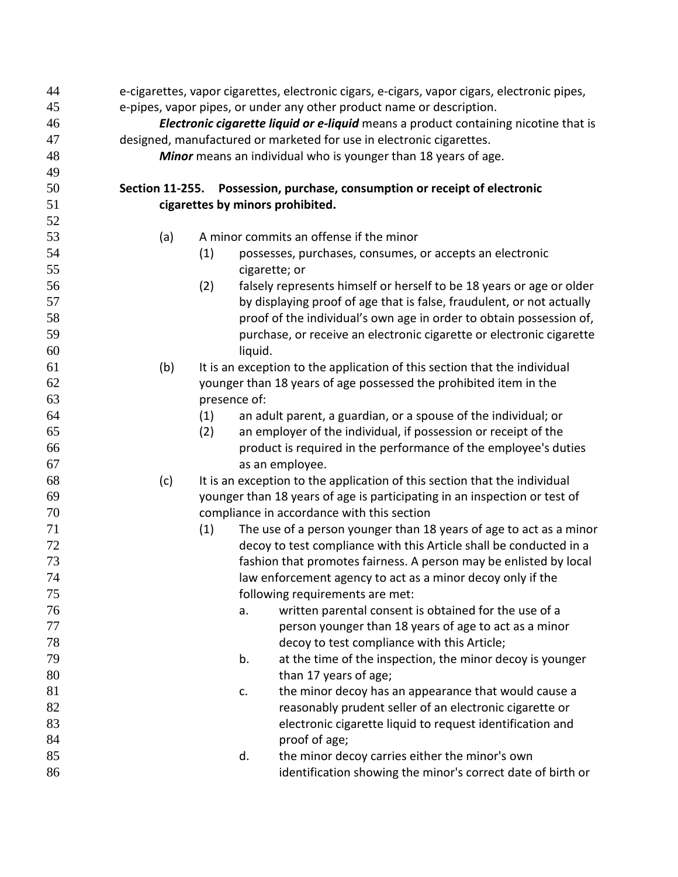| 44 |                                                                                     |              | e-cigarettes, vapor cigarettes, electronic cigars, e-cigars, vapor cigars, electronic pipes, |  |  |
|----|-------------------------------------------------------------------------------------|--------------|----------------------------------------------------------------------------------------------|--|--|
| 45 | e-pipes, vapor pipes, or under any other product name or description.               |              |                                                                                              |  |  |
| 46 | Electronic cigarette liquid or e-liquid means a product containing nicotine that is |              |                                                                                              |  |  |
| 47 | designed, manufactured or marketed for use in electronic cigarettes.                |              |                                                                                              |  |  |
| 48 |                                                                                     |              | Minor means an individual who is younger than 18 years of age.                               |  |  |
| 49 |                                                                                     |              |                                                                                              |  |  |
| 50 | <b>Section 11-255.</b>                                                              |              | Possession, purchase, consumption or receipt of electronic                                   |  |  |
| 51 |                                                                                     |              | cigarettes by minors prohibited.                                                             |  |  |
| 52 |                                                                                     |              |                                                                                              |  |  |
| 53 | (a)                                                                                 |              | A minor commits an offense if the minor                                                      |  |  |
| 54 |                                                                                     | (1)          | possesses, purchases, consumes, or accepts an electronic                                     |  |  |
| 55 |                                                                                     |              | cigarette; or                                                                                |  |  |
| 56 |                                                                                     | (2)          | falsely represents himself or herself to be 18 years or age or older                         |  |  |
| 57 |                                                                                     |              | by displaying proof of age that is false, fraudulent, or not actually                        |  |  |
| 58 |                                                                                     |              | proof of the individual's own age in order to obtain possession of,                          |  |  |
| 59 |                                                                                     |              | purchase, or receive an electronic cigarette or electronic cigarette                         |  |  |
| 60 |                                                                                     |              | liquid.                                                                                      |  |  |
| 61 | (b)                                                                                 |              | It is an exception to the application of this section that the individual                    |  |  |
| 62 |                                                                                     |              | younger than 18 years of age possessed the prohibited item in the                            |  |  |
| 63 |                                                                                     | presence of: |                                                                                              |  |  |
| 64 |                                                                                     | (1)          | an adult parent, a guardian, or a spouse of the individual; or                               |  |  |
| 65 |                                                                                     | (2)          | an employer of the individual, if possession or receipt of the                               |  |  |
| 66 |                                                                                     |              | product is required in the performance of the employee's duties                              |  |  |
| 67 |                                                                                     |              | as an employee.                                                                              |  |  |
| 68 | (c)                                                                                 |              | It is an exception to the application of this section that the individual                    |  |  |
| 69 |                                                                                     |              | younger than 18 years of age is participating in an inspection or test of                    |  |  |
| 70 |                                                                                     |              | compliance in accordance with this section                                                   |  |  |
| 71 |                                                                                     | (1)          | The use of a person younger than 18 years of age to act as a minor                           |  |  |
| 72 |                                                                                     |              | decoy to test compliance with this Article shall be conducted in a                           |  |  |
| 73 |                                                                                     |              | fashion that promotes fairness. A person may be enlisted by local                            |  |  |
| 74 |                                                                                     |              | law enforcement agency to act as a minor decoy only if the                                   |  |  |
| 75 |                                                                                     |              | following requirements are met:                                                              |  |  |
| 76 |                                                                                     |              | written parental consent is obtained for the use of a<br>a.                                  |  |  |
| 77 |                                                                                     |              | person younger than 18 years of age to act as a minor                                        |  |  |
| 78 |                                                                                     |              | decoy to test compliance with this Article;                                                  |  |  |
| 79 |                                                                                     |              | b.<br>at the time of the inspection, the minor decoy is younger                              |  |  |
| 80 |                                                                                     |              | than 17 years of age;                                                                        |  |  |
| 81 |                                                                                     |              | the minor decoy has an appearance that would cause a<br>c.                                   |  |  |
| 82 |                                                                                     |              | reasonably prudent seller of an electronic cigarette or                                      |  |  |
| 83 |                                                                                     |              | electronic cigarette liquid to request identification and                                    |  |  |
| 84 |                                                                                     |              | proof of age;                                                                                |  |  |
| 85 |                                                                                     |              | the minor decoy carries either the minor's own<br>d.                                         |  |  |
| 86 |                                                                                     |              | identification showing the minor's correct date of birth or                                  |  |  |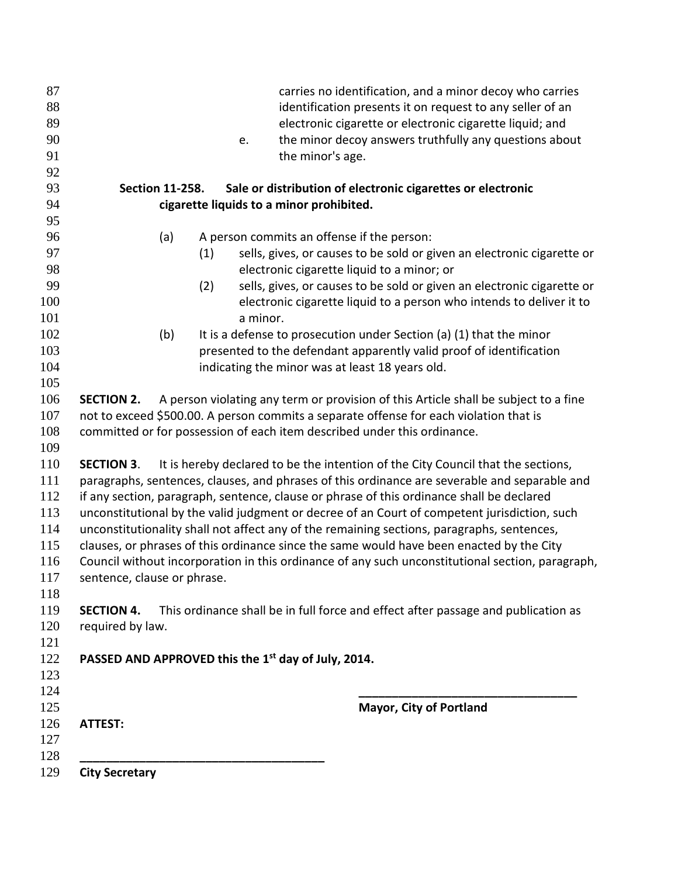| 109<br>110<br>112<br>113<br>114<br>115 | <b>SECTION 3.</b>      |     |          | It is hereby declared to be the intention of the City Council that the sections,<br>paragraphs, sentences, clauses, and phrases of this ordinance are severable and separable and<br>if any section, paragraph, sentence, clause or phrase of this ordinance shall be declared<br>unconstitutional by the valid judgment or decree of an Court of competent jurisdiction, such<br>unconstitutionality shall not affect any of the remaining sections, paragraphs, sentences,<br>clauses, or phrases of this ordinance since the same would have been enacted by the City |
|----------------------------------------|------------------------|-----|----------|--------------------------------------------------------------------------------------------------------------------------------------------------------------------------------------------------------------------------------------------------------------------------------------------------------------------------------------------------------------------------------------------------------------------------------------------------------------------------------------------------------------------------------------------------------------------------|
|                                        |                        |     |          |                                                                                                                                                                                                                                                                                                                                                                                                                                                                                                                                                                          |
|                                        |                        |     |          |                                                                                                                                                                                                                                                                                                                                                                                                                                                                                                                                                                          |
|                                        |                        |     |          |                                                                                                                                                                                                                                                                                                                                                                                                                                                                                                                                                                          |
|                                        |                        |     |          |                                                                                                                                                                                                                                                                                                                                                                                                                                                                                                                                                                          |
|                                        |                        |     |          |                                                                                                                                                                                                                                                                                                                                                                                                                                                                                                                                                                          |
|                                        |                        |     |          |                                                                                                                                                                                                                                                                                                                                                                                                                                                                                                                                                                          |
| 108                                    |                        |     |          | committed or for possession of each item described under this ordinance.                                                                                                                                                                                                                                                                                                                                                                                                                                                                                                 |
| 107                                    |                        |     |          | not to exceed \$500.00. A person commits a separate offense for each violation that is                                                                                                                                                                                                                                                                                                                                                                                                                                                                                   |
| 106                                    | <b>SECTION 2.</b>      |     |          | A person violating any term or provision of this Article shall be subject to a fine                                                                                                                                                                                                                                                                                                                                                                                                                                                                                      |
|                                        |                        |     |          |                                                                                                                                                                                                                                                                                                                                                                                                                                                                                                                                                                          |
| 104                                    |                        |     |          | indicating the minor was at least 18 years old.                                                                                                                                                                                                                                                                                                                                                                                                                                                                                                                          |
| 103                                    |                        |     |          | presented to the defendant apparently valid proof of identification                                                                                                                                                                                                                                                                                                                                                                                                                                                                                                      |
|                                        |                        | (b) |          | It is a defense to prosecution under Section (a) (1) that the minor                                                                                                                                                                                                                                                                                                                                                                                                                                                                                                      |
|                                        |                        |     | a minor. |                                                                                                                                                                                                                                                                                                                                                                                                                                                                                                                                                                          |
| 100                                    |                        |     | (2)      | sells, gives, or causes to be sold or given an electronic cigarette or<br>electronic cigarette liquid to a person who intends to deliver it to                                                                                                                                                                                                                                                                                                                                                                                                                           |
| 98<br>99                               |                        |     |          | electronic cigarette liquid to a minor; or                                                                                                                                                                                                                                                                                                                                                                                                                                                                                                                               |
| 97                                     |                        |     | (1)      | sells, gives, or causes to be sold or given an electronic cigarette or                                                                                                                                                                                                                                                                                                                                                                                                                                                                                                   |
| 96                                     |                        | (a) |          | A person commits an offense if the person:                                                                                                                                                                                                                                                                                                                                                                                                                                                                                                                               |
| 95                                     |                        |     |          |                                                                                                                                                                                                                                                                                                                                                                                                                                                                                                                                                                          |
| 94                                     |                        |     |          | cigarette liquids to a minor prohibited.                                                                                                                                                                                                                                                                                                                                                                                                                                                                                                                                 |
|                                        | <b>Section 11-258.</b> |     |          | Sale or distribution of electronic cigarettes or electronic                                                                                                                                                                                                                                                                                                                                                                                                                                                                                                              |
| 92                                     |                        |     |          |                                                                                                                                                                                                                                                                                                                                                                                                                                                                                                                                                                          |
|                                        |                        |     |          | the minor's age.                                                                                                                                                                                                                                                                                                                                                                                                                                                                                                                                                         |
| 89<br>90                               |                        |     | e.       | the minor decoy answers truthfully any questions about                                                                                                                                                                                                                                                                                                                                                                                                                                                                                                                   |
|                                        |                        |     |          | identification presents it on request to any seller of an<br>electronic cigarette or electronic cigarette liquid; and                                                                                                                                                                                                                                                                                                                                                                                                                                                    |
|                                        |                        |     |          | carries no identification, and a minor decoy who carries                                                                                                                                                                                                                                                                                                                                                                                                                                                                                                                 |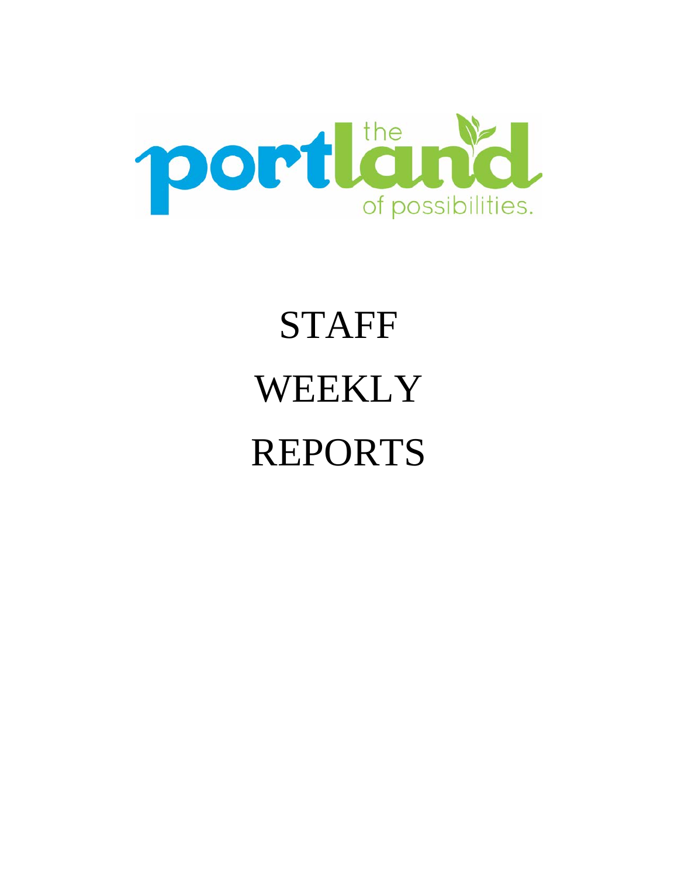

# STAFF WEEKLY REPORTS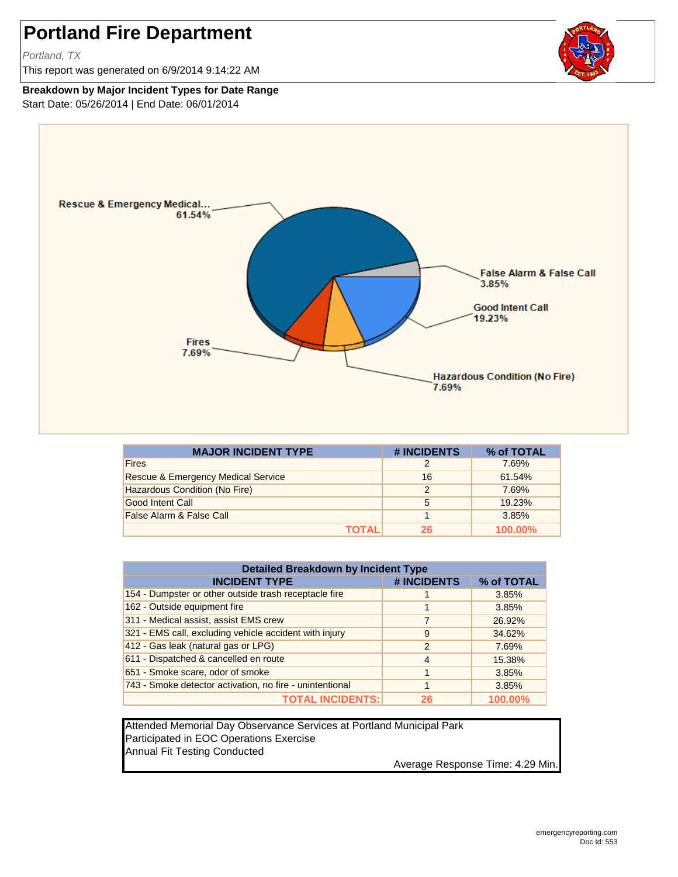## **Portland Fire Department**

*Portland, TX*

This report was generated on 6/9/2014 9:14:22 AM

## **Breakdown by Major Incident Types for Date Range**

Start Date: 05/26/2014 | End Date: 06/01/2014



| <b>MAJOR INCIDENT TYPE</b>         | # INCIDENTS | % of TOTAL |
|------------------------------------|-------------|------------|
| <b>Fires</b>                       | 2           | 7.69%      |
| Rescue & Emergency Medical Service | 16          | 61.54%     |
| Hazardous Condition (No Fire)      | 2           | 7.69%      |
| <b>Good Intent Call</b>            | 5           | 19.23%     |
| False Alarm & False Call           |             | 3.85%      |
| TOTAL                              | 26          | 100.00%    |

| <b>Detailed Breakdown by Incident Type</b>               |                |            |  |  |  |
|----------------------------------------------------------|----------------|------------|--|--|--|
| <b>INCIDENT TYPE</b>                                     | # INCIDENTS    | % of TOTAL |  |  |  |
| 154 - Dumpster or other outside trash receptacle fire    |                | 3.85%      |  |  |  |
| 162 - Outside equipment fire                             |                | 3.85%      |  |  |  |
| 311 - Medical assist, assist EMS crew                    |                | 26.92%     |  |  |  |
| 321 - EMS call, excluding vehicle accident with injury   | 9              | 34.62%     |  |  |  |
| 412 - Gas leak (natural gas or LPG)                      | $\overline{2}$ | 7.69%      |  |  |  |
| 611 - Dispatched & cancelled en route                    | 4              | 15.38%     |  |  |  |
| 651 - Smoke scare, odor of smoke                         | 4              | 3.85%      |  |  |  |
| 743 - Smoke detector activation, no fire - unintentional |                | 3.85%      |  |  |  |
| <b>TOTAL INCIDENTS:</b>                                  | 26             | 100.00%    |  |  |  |

Attended Memorial Day Observance Services at Portland Municipal Park Participated in EOC Operations Exercise Annual Fit Testing Conducted

Average Response Time: 4.29 Min.